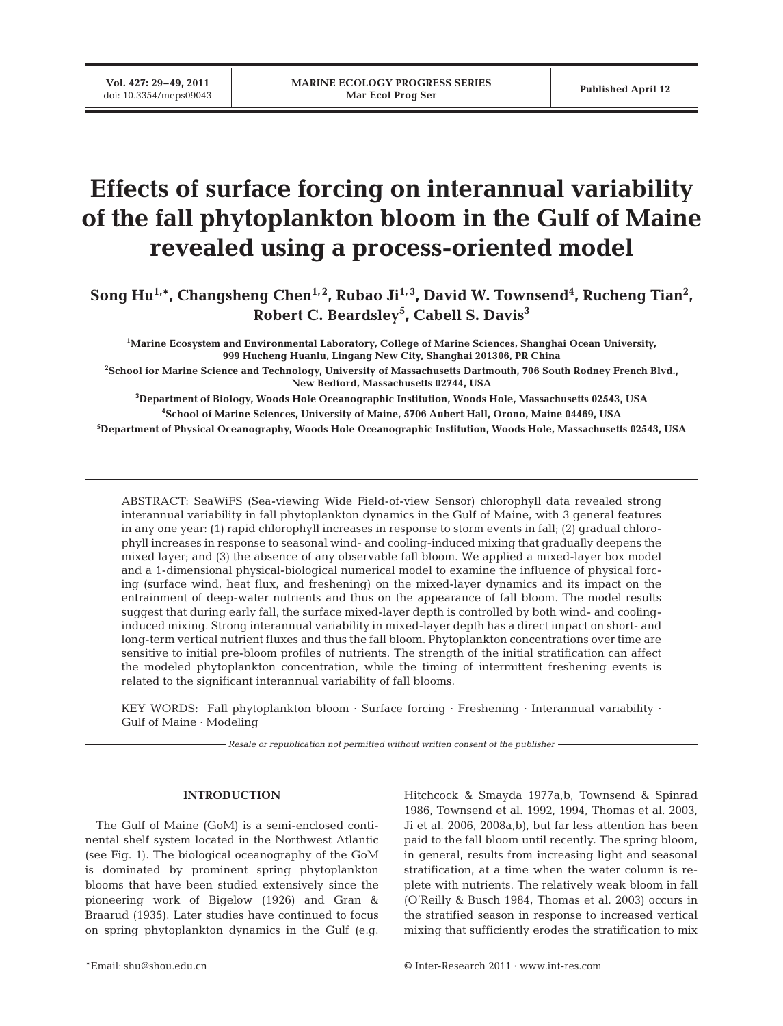**Vol. 427: 29–49, 2011**

# **Effects of surface forcing on interannual variability of the fall phytoplankton bloom in the Gulf of Maine revealed using a process-oriented model**

Song Hu<sup>1,\*</sup>, Changsheng Chen<sup>1,2</sup>, Rubao Ji<sup>1,3</sup>, David W. Townsend<sup>4</sup>, Rucheng Tian<sup>2</sup>, **Robert C. Beardsley5 , Cabell S. Davis3**

**1 Marine Ecosystem and Environmental Laboratory, College of Marine Sciences, Shanghai Ocean University, 999 Hucheng Huanlu, Lingang New City, Shanghai 201306, PR China**

**2 School for Marine Science and Technology, University of Massachusetts Dartmouth, 706 South Rodney French Blvd., New Bedford, Massachusetts 02744, USA**

**3 Department of Biology, Woods Hole Oceanographic Institution, Woods Hole, Massachusetts 02543, USA 4 School of Marine Sciences, University of Maine, 5706 Aubert Hall, Orono, Maine 04469, USA**

**5 Department of Physical Oceanography, Woods Hole Oceanographic Institution, Woods Hole, Massachusetts 02543, USA**

ABSTRACT: SeaWiFS (Sea-viewing Wide Field-of-view Sensor) chlorophyll data revealed strong interannual variability in fall phytoplankton dynamics in the Gulf of Maine, with 3 general features in any one year: (1) rapid chlorophyll increases in response to storm events in fall; (2) gradual chlorophyll increases in response to seasonal wind- and cooling-induced mixing that gradually deepens the mixed layer; and (3) the absence of any observable fall bloom. We applied a mixed-layer box model and a 1-dimensional physical-biological numerical model to examine the influence of physical forcing (surface wind, heat flux, and freshening) on the mixed-layer dynamics and its impact on the entrainment of deep-water nutrients and thus on the appearance of fall bloom. The model results suggest that during early fall, the surface mixed-layer depth is controlled by both wind- and coolinginduced mixing. Strong interannual variability in mixed-layer depth has a direct impact on short- and long-term vertical nutrient fluxes and thus the fall bloom. Phytoplankton concentrations over time are sensitive to initial pre-bloom profiles of nutrients. The strength of the initial stratification can affect the modeled phytoplankton concentration, while the timing of intermittent freshening events is related to the significant interannual variability of fall blooms.

KEY WORDS: Fall phytoplankton bloom · Surface forcing · Freshening · Interannual variability · Gulf of Maine · Modeling

*Resale or republication not permitted without written consent of the publisher*

# **INTRODUCTION**

The Gulf of Maine (GoM) is a semi-enclosed continental shelf system located in the Northwest Atlantic (see Fig. 1). The biological oceanography of the GoM is dominated by prominent spring phytoplankton blooms that have been studied extensively since the pioneering work of Bigelow (1926) and Gran & Braarud (1935). Later studies have continued to focus on spring phytoplankton dynamics in the Gulf (e.g.

Hitchcock & Smayda 1977a,b, Townsend & Spinrad 1986, Townsend et al. 1992, 1994, Thomas et al. 2003, Ji et al. 2006, 2008a,b), but far less attention has been paid to the fall bloom until recently. The spring bloom, in general, results from increasing light and seasonal stratification, at a time when the water column is re plete with nutrients. The relatively weak bloom in fall (O'Reilly & Busch 1984, Thomas et al. 2003) occurs in the stratified season in response to increased vertical mixing that sufficiently erodes the stratification to mix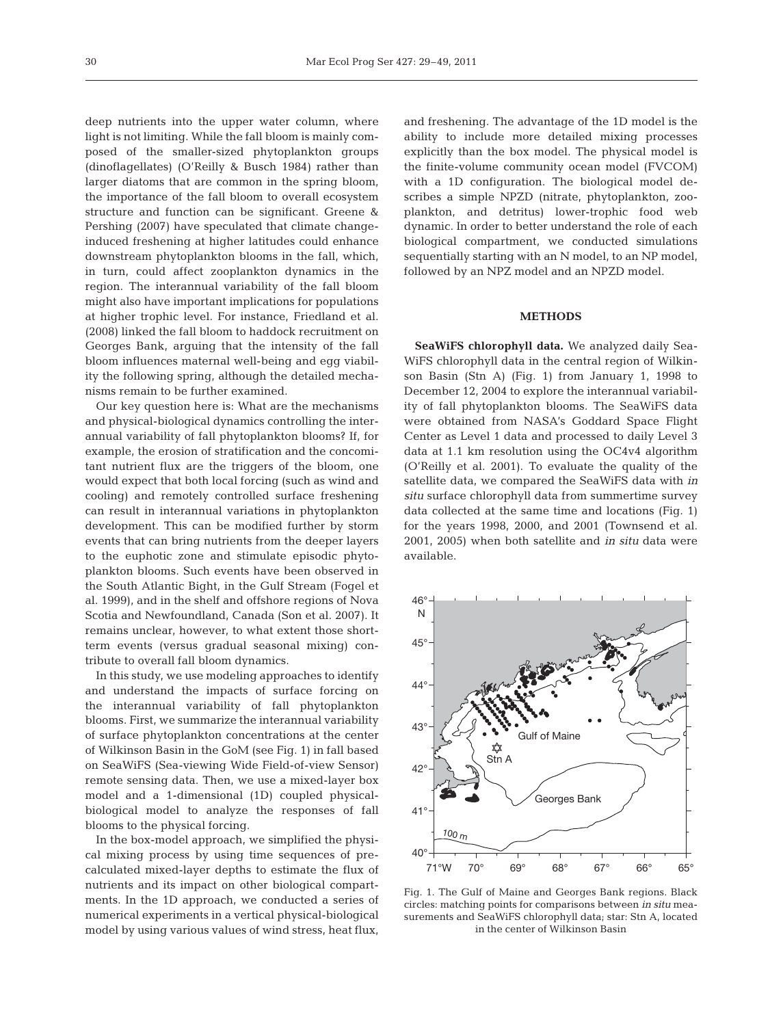deep nutrients into the upper water column, where light is not limiting. While the fall bloom is mainly composed of the smaller-sized phytoplankton groups (dinoflagellates) (O'Reilly & Busch 1984) rather than larger diatoms that are common in the spring bloom, the importance of the fall bloom to overall ecosystem structure and function can be significant. Greene & Pershing (2007) have speculated that climate changeinduced freshening at higher latitudes could enhance downstream phytoplankton blooms in the fall, which, in turn, could affect zooplankton dynamics in the region. The interannual variability of the fall bloom might also have important implications for populations at higher trophic level. For instance, Friedland et al. (2008) linked the fall bloom to haddock recruitment on Georges Bank, arguing that the intensity of the fall bloom influences maternal well-being and egg viability the following spring, although the detailed mechanisms remain to be further examined.

Our key question here is: What are the mechanisms and physical-biological dynamics controlling the interannual variability of fall phytoplankton blooms? If, for example, the erosion of stratification and the concomitant nutrient flux are the triggers of the bloom, one would expect that both local forcing (such as wind and cooling) and remotely controlled surface freshening can result in interannual variations in phytoplankton development. This can be modified further by storm events that can bring nutrients from the deeper layers to the euphotic zone and stimulate episodic phytoplankton blooms. Such events have been observed in the South Atlantic Bight, in the Gulf Stream (Fogel et al. 1999), and in the shelf and offshore regions of Nova Scotia and Newfoundland, Canada (Son et al. 2007). It remains unclear, however, to what extent those shortterm events (versus gradual seasonal mixing) contribute to overall fall bloom dynamics.

In this study, we use modeling approaches to identify and understand the impacts of surface forcing on the interannual variability of fall phytoplankton blooms. First, we summarize the interannual variability of surface phytoplankton concentrations at the center of Wilkinson Basin in the GoM (see Fig. 1) in fall based on SeaWiFS (Sea-viewing Wide Field-of-view Sensor) remote sensing data. Then, we use a mixed-layer box model and a 1-dimensional (1D) coupled physicalbiological model to analyze the responses of fall blooms to the physical forcing.

In the box-model approach, we simplified the physical mixing process by using time sequences of precalculated mixed-layer depths to estimate the flux of nutrients and its impact on other biological compartments. In the 1D approach, we conducted a series of numerical experiments in a vertical physical-biological model by using various values of wind stress, heat flux,

and freshening. The advantage of the 1D model is the ability to include more detailed mixing processes explicitly than the box model. The physical model is the finite-volume community ocean model (FVCOM) with a 1D configuration. The biological model describes a simple NPZD (nitrate, phytoplankton, zooplankton, and detritus) lower-trophic food web dynamic. In order to better understand the role of each biological compartment, we conducted simulations sequentially starting with an N model, to an NP model, followed by an NPZ model and an NPZD model.

# **METHODS**

**SeaWiFS chlorophyll data.** We analyzed daily Sea-WiFS chlorophyll data in the central region of Wilkinson Basin (Stn A) (Fig. 1) from January 1, 1998 to December 12, 2004 to explore the interannual variability of fall phytoplankton blooms. The SeaWiFS data were obtained from NASA's Goddard Space Flight Center as Level 1 data and processed to daily Level 3 data at 1.1 km resolution using the OC4v4 algorithm (O'Reilly et al. 2001). To evaluate the quality of the satellite data, we compared the SeaWiFS data with *in situ* surface chlorophyll data from summertime survey data collected at the same time and locations (Fig. 1) for the years 1998, 2000, and 2001 (Townsend et al. 2001, 2005) when both satellite and *in situ* data were available.



Fig. 1. The Gulf of Maine and Georges Bank regions. Black circles: matching points for comparisons between *in situ* measurements and SeaWiFS chlorophyll data; star: Stn A, located in the center of Wilkinson Basin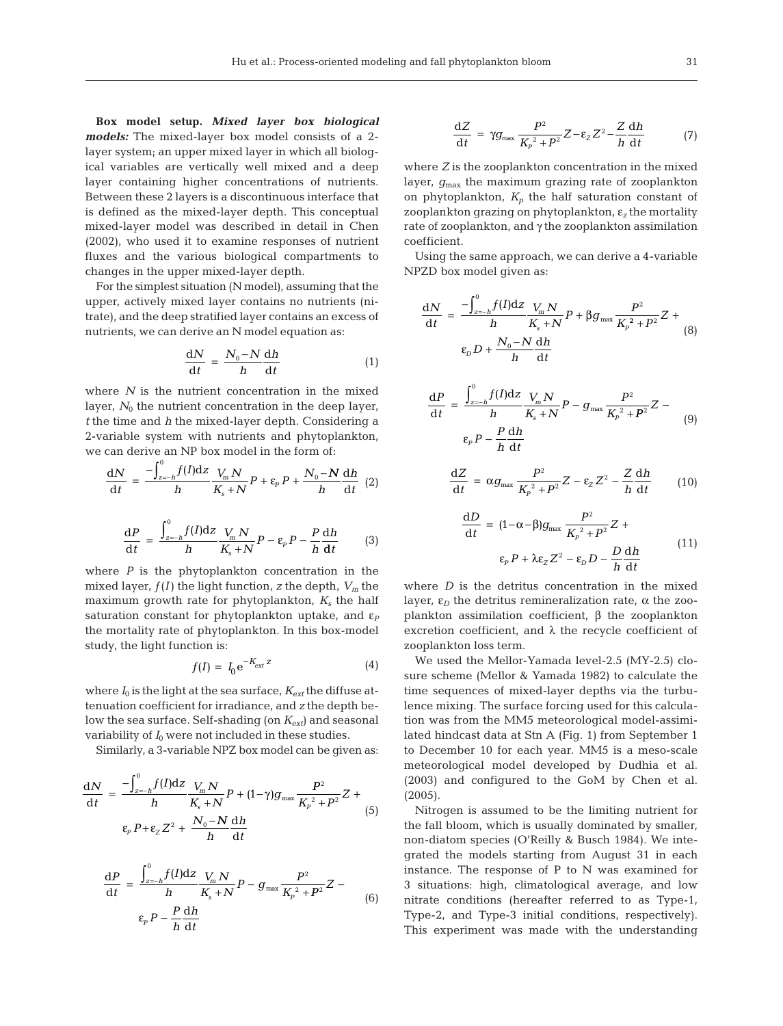**Box model setup.** *Mixed layer box biological models:* The mixed-layer box model consists of a 2 layer system; an upper mixed layer in which all biological variables are vertically well mixed and a deep layer containing higher concentrations of nutrients. Between these 2 layers is a discontinuous interface that is defined as the mixed-layer depth. This conceptual mixed-layer model was described in detail in Chen (2002), who used it to examine responses of nutrient fluxes and the various biological compartments to changes in the upper mixed-layer depth.

For the simplest situation (N model), assuming that the upper, actively mixed layer contains no nutrients (nitrate), and the deep stratified layer contains an excess of nutrients, we can derive an N model equation as:

$$
\frac{\mathrm{d}N}{\mathrm{d}t} = \frac{N_0 - N}{h} \frac{\mathrm{d}h}{\mathrm{d}t} \tag{1}
$$

where *N* is the nutrient concentration in the mixed layer,  $N_0$  the nutrient concentration in the deep layer, *t* the time and *h* the mixed-layer depth. Considering a 2-variable system with nutrients and phytoplankton, we can derive an NP box model in the form of:

$$
\frac{\mathrm{d}N}{\mathrm{d}t} = \frac{-\int_{z=h}^{0} f(I) \mathrm{d}z}{h} \frac{V_m N}{K_s + N} P + \varepsilon_p P + \frac{N_0 - N}{h} \frac{\mathrm{d}h}{\mathrm{d}t} \tag{2}
$$

$$
\frac{\mathrm{d}P}{\mathrm{d}t} = \frac{\int_{z=-h}^{0} f(I) \mathrm{d}z}{h} \frac{V_m N}{K_s + N} P - \varepsilon_p P - \frac{P}{h} \frac{\mathrm{d}h}{\mathrm{d}t} \tag{3}
$$

where *P* is the phytoplankton concentration in the mixed layer,  $f(I)$  the light function, *z* the depth,  $V_m$  the maximum growth rate for phytoplankton,  $K_s$  the half saturation constant for phytoplankton uptake, and  $\varepsilon_P$ the mortality rate of phytoplankton. In this box-model study, the light function is:

$$
f(I) = I_0 e^{-K_{ext} z} \tag{4}
$$

where  $I_0$  is the light at the sea surface,  $K_{ext}$  the diffuse attenuation coefficient for irradiance, and *z* the depth below the sea surface. Self-shading (on  $K_{ext}$ ) and seasonal variability of  $I_0$  were not included in these studies.

Similarly, a 3-variable NPZ box model can be given as:

$$
\frac{dN}{dt} = \frac{-\int_{z=b}^{0} f(I)dz}{h} \frac{V_m N}{K_s + N} P + (1 - \gamma)g_{\text{max}} \frac{P^2}{K_p^2 + P^2} Z + \frac{N_0 - N}{h} \frac{dh}{dt}
$$
\n(5)

$$
\frac{\mathrm{d}P}{\mathrm{d}t} = \frac{\int_{z=-h}^{0} f(I) \mathrm{d}z}{h} \frac{V_m N}{K_s + N} P - g_{\text{max}} \frac{P^2}{K_p^2 + P^2} Z - \epsilon_{\text{p}}
$$
\n
$$
\epsilon_p P - \frac{P}{h} \frac{\mathrm{d}h}{\mathrm{d}t} \tag{6}
$$

$$
\frac{\mathrm{d}Z}{\mathrm{d}t} = \gamma g_{\text{max}} \frac{P^2}{K_p^2 + P^2} Z - \varepsilon_Z Z^2 - \frac{Z}{h} \frac{\mathrm{d}h}{\mathrm{d}t} \tag{7}
$$

where *Z* is the zooplankton concentration in the mixed layer,  $g_{\text{max}}$  the maximum grazing rate of zooplankton on phytoplankton,  $K_p$  the half saturation constant of zooplankton grazing on phytoplankton, ε*<sup>z</sup>* the mortality rate of zooplankton, and γ the zooplankton assimilation coefficient.

Using the same approach, we can derive a 4-variable NPZD box model given as:

$$
\frac{dN}{dt} = \frac{-\int_{z=h}^{0} f(I)dz}{h} \frac{V_m N}{K_s + N} P + \beta g_{\text{max}} \frac{P^2}{K_p^2 + P^2} Z + \sum_{\ell \ge 0} E_{\ell} P + \frac{N_0 - N}{h} \frac{dh}{dt}
$$
\n(8)

$$
\frac{\mathrm{d}P}{\mathrm{d}t} = \frac{\int_{z=-h}^{0} f(I) \mathrm{d}z}{h} \frac{V_m N}{K_s + N} P - g_{\text{max}} \frac{P^2}{K_p^2 + P^2} Z - \epsilon_p P - \frac{P}{h} \frac{\mathrm{d}h}{\mathrm{d}t}
$$
\n
$$
(9)
$$

$$
\frac{\mathrm{d}Z}{\mathrm{d}t} = \alpha g_{\text{max}} \frac{P^2}{K_p^2 + P^2} Z - \varepsilon_Z Z^2 - \frac{Z}{h} \frac{\mathrm{d}h}{\mathrm{d}t} \tag{10}
$$

$$
\frac{dD}{dt} = (1 - \alpha - \beta)g_{\text{max}} \frac{P^2}{K_p^2 + P^2} Z + \varepsilon_p P + \lambda \varepsilon_z Z^2 - \varepsilon_p D - \frac{D}{h} \frac{dh}{dt}
$$
\n(11)

where *D* is the detritus concentration in the mixed layer,  $\varepsilon_D$  the detritus remineralization rate,  $\alpha$  the zooplankton assimilation coefficient, β the zooplankton excretion coefficient, and  $\lambda$  the recycle coefficient of zooplankton loss term.

We used the Mellor-Yamada level-2.5 (MY-2.5) closure scheme (Mellor & Yamada 1982) to calculate the time sequences of mixed-layer depths via the turbulence mixing. The surface forcing used for this calculation was from the MM5 meteorological model-assimilated hindcast data at Stn A (Fig. 1) from September 1 to December 10 for each year. MM5 is a meso-scale meteorological model developed by Dudhia et al. (2003) and configured to the GoM by Chen et al. (2005).

Nitrogen is assumed to be the limiting nutrient for the fall bloom, which is usually dominated by smaller, non-diatom species (O'Reilly & Busch 1984). We integrated the models starting from August 31 in each instance. The response of P to N was examined for 3 situations: high, climatological average, and low nitrate conditions (hereafter referred to as Type-1, Type-2, and Type-3 initial conditions, respectively). This experiment was made with the understanding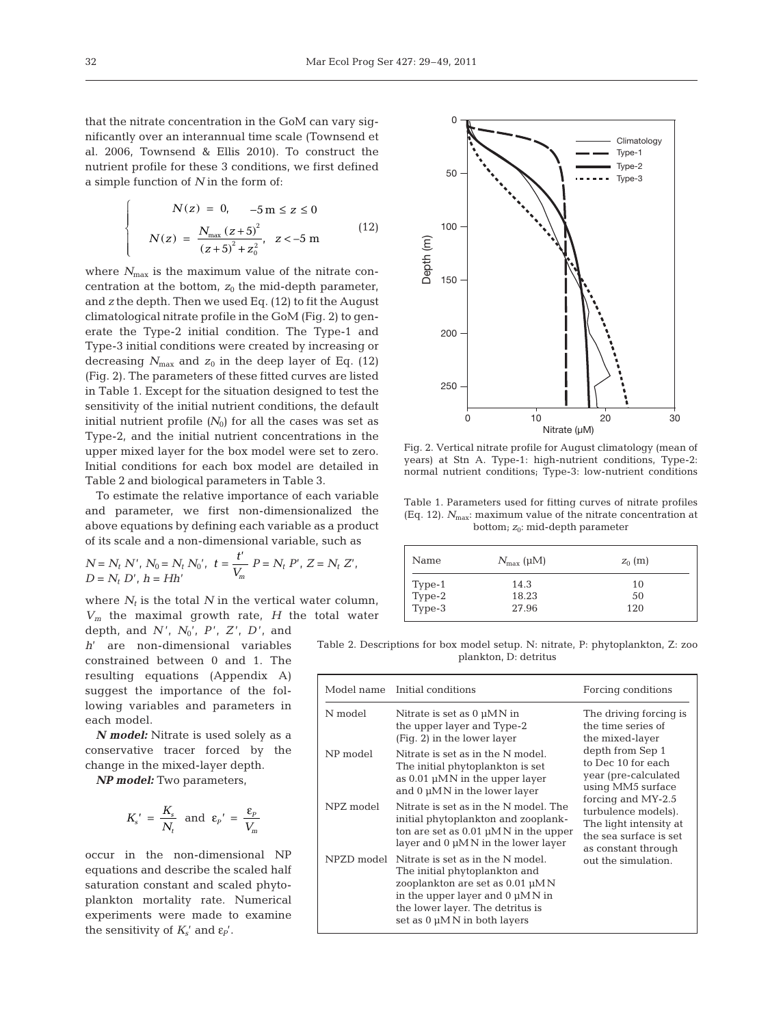that the nitrate concentration in the GoM can vary significantly over an interannual time scale (Townsend et al. 2006, Townsend & Ellis 2010). To construct the nutrient profile for these 3 conditions, we first defined a simple function of *N* in the form of:

$$
N(z) = 0, -5 \text{ m} \le z \le 0
$$
  

$$
N(z) = \frac{N_{\text{max}}(z+5)^2}{(z+5)^2 + z_0^2}, z < -5 \text{ m}
$$
 (12)

where  $N_{\text{max}}$  is the maximum value of the nitrate concentration at the bottom,  $z_0$  the mid-depth parameter, and *z* the depth. Then we used Eq. (12) to fit the August climatological nitrate profile in the GoM (Fig. 2) to generate the Type-2 initial condition. The Type-1 and Type-3 initial conditions were created by increasing or decreasing  $N_{\text{max}}$  and  $z_0$  in the deep layer of Eq. (12) (Fig. 2). The parameters of these fitted curves are listed in Table 1. Except for the situation designed to test the sensitivity of the initial nutrient conditions, the default initial nutrient profile  $(N_0)$  for all the cases was set as Type-2, and the initial nutrient concentrations in the upper mixed layer for the box model were set to zero. Initial conditions for each box model are detailed in Table 2 and biological parameters in Table 3.

To estimate the relative importance of each variable and parameter, we first non-dimensionalized the above equations by defining each variable as a product of its scale and a non-dimensional variable, such as

$$
N = N_t N', N_0 = N_t N_0', t = \frac{t'}{V_m} P = N_t P', Z = N_t Z',
$$
  

$$
D = N_t D', h = Hh'
$$

where  $N_t$  is the total  $N$  in the vertical water column, *Vm* the maximal growth rate, *H* the total water

depth, and *N* ', *N*0', *P* ', *Z* ', *D* ', and *h*' are non-dimensional variables constrained between 0 and 1. The resulting equations (Appendix A) suggest the importance of the following variables and parameters in each model.

*N model:* Nitrate is used solely as a conservative tracer forced by the change in the mixed-layer depth.

*NP model:* Two parameters,

$$
K'_{s} = \frac{K_{s}}{N_{t}} \text{ and } \varepsilon_{p}' = \frac{\varepsilon_{p}}{V_{m}}
$$

occur in the non-dimensional NP equations and describe the scaled half saturation constant and scaled phytoplankton mortality rate. Numerical experiments were made to examine the sensitivity of  $K_s'$  and  $\varepsilon_p'$ .



Fig. 2. Vertical nitrate profile for August climatology (mean of years) at Stn A. Type-1: high-nutrient conditions, Type-2: normal nutrient conditions; Type-3: low-nutrient conditions

Table 1. Parameters used for fitting curves of nitrate profiles (Eq. 12).  $N_{\text{max}}$ : maximum value of the nitrate concentration at bottom;  $z_0$ : mid-depth parameter

| Name                       | $N_{\rm max}$ (µM) | $z_0$ (m) |
|----------------------------|--------------------|-----------|
|                            | 14.3               | 10        |
|                            | 18.23              | 50        |
| Type-1<br>Type-2<br>Type-3 | 27.96              | 120       |

Table 2. Descriptions for box model setup. N: nitrate, P: phytoplankton, Z: zoo plankton, D: detritus

| Model name | Initial conditions                                                                                                                                                                                               | Forcing conditions                                                                                                   |
|------------|------------------------------------------------------------------------------------------------------------------------------------------------------------------------------------------------------------------|----------------------------------------------------------------------------------------------------------------------|
| N model    | Nitrate is set as $0 \mu MN$ in<br>the upper layer and Type-2<br>(Fig. 2) in the lower layer                                                                                                                     | The driving forcing is<br>the time series of<br>the mixed-layer                                                      |
| NP model   | Nitrate is set as in the N model.<br>The initial phytoplankton is set<br>as $0.01 \mu MN$ in the upper layer<br>and $0 \mu MN$ in the lower layer                                                                | depth from Sep 1<br>to Dec 10 for each<br>year (pre-calculated<br>using MM5 surface                                  |
| NPZ model  | Nitrate is set as in the N model. The<br>initial phytoplankton and zooplank-<br>ton are set as $0.01 \mu MN$ in the upper<br>layer and $0 \mu M N$ in the lower layer                                            | forcing and MY-2.5<br>turbulence models).<br>The light intensity at<br>the sea surface is set<br>as constant through |
| NPZD model | Nitrate is set as in the N model.<br>The initial phytoplankton and<br>zooplankton are set as 0.01 µMN<br>in the upper layer and $0 \mu MN$ in<br>the lower layer. The detritus is<br>set as 0 µMN in both layers | out the simulation.                                                                                                  |

 $\overline{a}$ ⎨ ⎪⎪

l  $\overline{a}$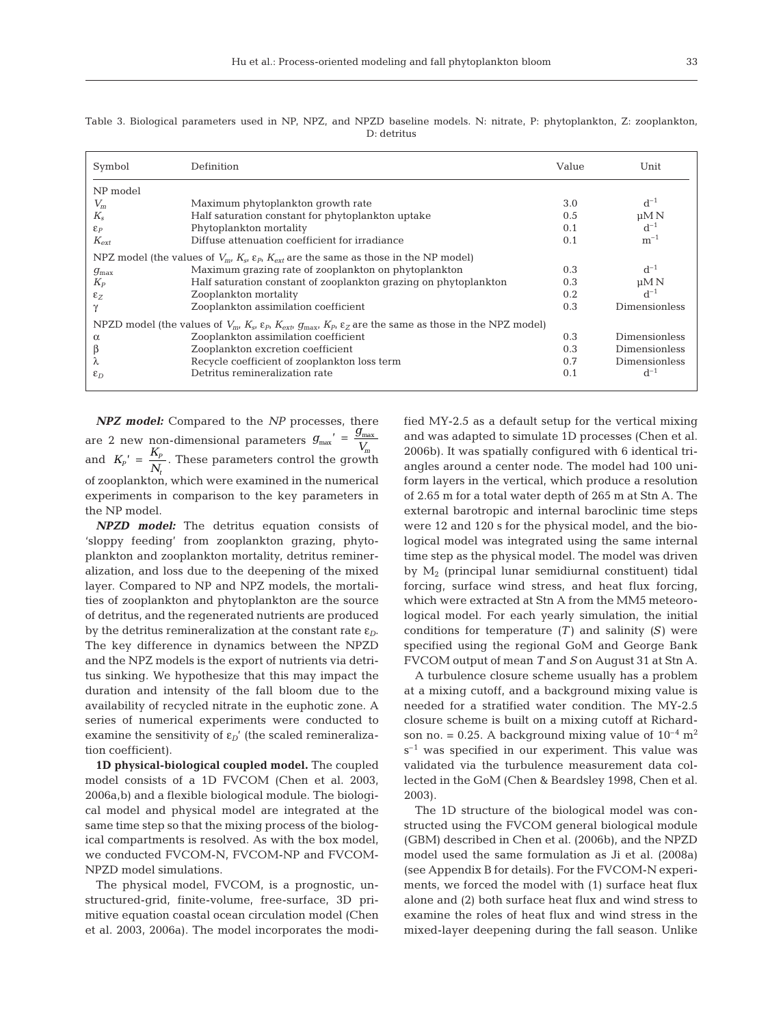| Symbol           | Definition                                                                                                                                                     | Value | Unit                 |
|------------------|----------------------------------------------------------------------------------------------------------------------------------------------------------------|-------|----------------------|
| NP model         |                                                                                                                                                                |       |                      |
| $V_m$            | Maximum phytoplankton growth rate                                                                                                                              | 3.0   | $d^{-1}$             |
| $K_{\rm s}$      | Half saturation constant for phytoplankton uptake                                                                                                              | 0.5   | $\mu$ M N            |
| $\mathcal{E}_P$  | Phytoplankton mortality                                                                                                                                        | 0.1   | $d^{-1}$             |
| $K_{\rm ext}$    | Diffuse attenuation coefficient for irradiance                                                                                                                 | 0.1   | $m^{-1}$             |
|                  | NPZ model (the values of $V_{m}$ , $K_{s}$ , $\varepsilon_{p}$ , $K_{srt}$ are the same as those in the NP model)                                              |       |                      |
| $g_{\text{max}}$ | Maximum grazing rate of zooplankton on phytoplankton                                                                                                           | 0.3   | $d^{-1}$             |
| $K_P$            | Half saturation constant of zooplankton grazing on phytoplankton                                                                                               | 0.3   | $\mu$ M N            |
| $\epsilon$ z     | Zooplankton mortality                                                                                                                                          | 0.2   | $d^{-1}$             |
| $\gamma$         | Zooplankton assimilation coefficient                                                                                                                           | 0.3   | Dimensionless        |
|                  | NPZD model (the values of $V_{m}$ , $K_{st}$ , $\varepsilon_{p}$ , $K_{ext}$ , $g_{max}$ , $K_{p}$ , $\varepsilon_{z}$ are the same as those in the NPZ model) |       |                      |
| $\alpha$         | Zooplankton assimilation coefficient                                                                                                                           | 0.3   | Dimensionless        |
| β                | Zooplankton excretion coefficient                                                                                                                              | 0.3   | Dimensionless        |
| λ                | Recycle coefficient of zooplankton loss term                                                                                                                   | 0.7   | <b>Dimensionless</b> |
| $\varepsilon_D$  | Detritus remineralization rate                                                                                                                                 | 0.1   | $d^{-1}$             |

Table 3. Biological parameters used in NP, NPZ, and NPZD baseline models. N: nitrate, P: phytoplankton, Z: zooplankton, D: detritus

*NPZ model:* Compared to the *NP* processes, there are 2 new non-dimensional parameters and  $K_p' = \frac{np}{N}$ . These parameters control the growth of zooplankton, which were examined in the numerical experiments in comparison to the key parameters in the NP model.  $g_{\text{max}}' = \frac{g}{J}$  $V_{\text{max}}' = \frac{9 \text{ max}}{V_m}$  $K_{p}^{\;\;\prime}\;=\;\frac{K_{p}}{N_{t}}$ *t*  $'$  =

*NPZD model:* The detritus equation consists of 'sloppy feeding' from zooplankton grazing, phytoplankton and zooplankton mortality, detritus remineralization, and loss due to the deepening of the mixed layer. Compared to NP and NPZ models, the mortalities of zooplankton and phytoplankton are the source of detritus, and the regenerated nutrients are produced by the detritus remineralization at the constant rate ε*D*. The key difference in dynamics between the NPZD and the NPZ models is the export of nutrients via detritus sinking. We hypothesize that this may impact the duration and intensity of the fall bloom due to the availability of recycled nitrate in the euphotic zone. A series of numerical experiments were conducted to examine the sensitivity of  $\varepsilon_D$ <sup>'</sup> (the scaled remineralization coefficient).

**1D physical-biological coupled model.** The coupled model consists of a 1D FVCOM (Chen et al. 2003, 2006a,b) and a flexible biological module. The biological model and physical model are integrated at the same time step so that the mixing process of the biological compartments is resolved. As with the box model, we conducted FVCOM-N, FVCOM-NP and FVCOM-NPZD model simulations.

The physical model, FVCOM, is a prognostic, unstructured-grid, finite-volume, free-surface, 3D primitive equation coastal ocean circulation model (Chen et al. 2003, 2006a). The model incorporates the modified MY-2.5 as a default setup for the vertical mixing and was adapted to simulate 1D processes (Chen et al. 2006b). It was spatially configured with 6 identical triangles around a center node. The model had 100 uniform layers in the vertical, which produce a resolution of 2.65 m for a total water depth of 265 m at Stn A. The external barotropic and internal baroclinic time steps were 12 and 120 s for the physical model, and the biological model was integrated using the same internal time step as the physical model. The model was driven by  $M_2$  (principal lunar semidiurnal constituent) tidal forcing, surface wind stress, and heat flux forcing, which were extracted at Stn A from the MM5 meteorological model. For each yearly simulation, the initial conditions for temperature *(T)* and salinity *(S)* were specified using the regional GoM and George Bank FVCOM output of mean *T* and *S* on August 31 at Stn A.

A turbulence closure scheme usually has a problem at a mixing cutoff, and a background mixing value is needed for a stratified water condition. The MY-2.5 closure scheme is built on a mixing cutoff at Richardson no. = 0.25. A background mixing value of  $10^{-4}$  m<sup>2</sup>  $s^{-1}$  was specified in our experiment. This value was validated via the turbulence measurement data collected in the GoM (Chen & Beardsley 1998, Chen et al. 2003).

The 1D structure of the biological model was constructed using the FVCOM general biological module (GBM) described in Chen et al. (2006b), and the NPZD model used the same formulation as Ji et al. (2008a) (see Appendix B for details). For the FVCOM-N experiments, we forced the model with (1) surface heat flux alone and (2) both surface heat flux and wind stress to examine the roles of heat flux and wind stress in the mixed-layer deepening during the fall season. Unlike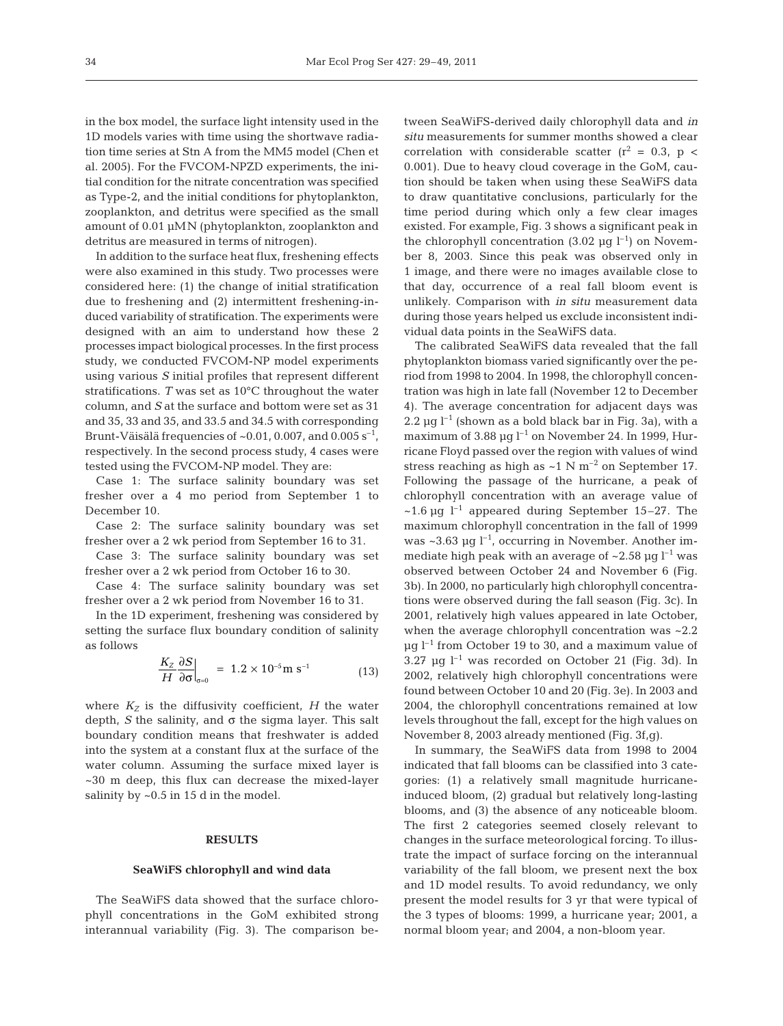in the box model, the surface light intensity used in the 1D models varies with time using the shortwave radiation time series at Stn A from the MM5 model (Chen et al. 2005). For the FVCOM-NPZD experiments, the initial condition for the nitrate concentration was specified as Type-2, and the initial conditions for phytoplankton, zooplankton, and detritus were specified as the small amount of 0.01 μMN (phytoplankton, zooplankton and detritus are measured in terms of nitrogen).

In addition to the surface heat flux, freshening effects were also examined in this study. Two processes were considered here: (1) the change of initial stratification due to freshening and (2) intermittent freshening-induced variability of stratification. The experiments were designed with an aim to understand how these 2 processes impact biological processes. In the first process study, we conducted FVCOM-NP model experiments using various *S* initial profiles that represent different stratifications. *T* was set as 10°C throughout the water column, and *S* at the surface and bottom were set as 31 and 35, 33 and 35, and 33.5 and 34.5 with corresponding Brunt-Väisälä frequencies of  $\sim 0.01$ ,  $0.007$ , and  $0.005$  s<sup>-1</sup>, respectively. In the second process study, 4 cases were tested using the FVCOM-NP model. They are:

Case 1: The surface salinity boundary was set fresher over a 4 mo period from September 1 to December 10.

Case 2: The surface salinity boundary was set fresher over a 2 wk period from September 16 to 31.

Case 3: The surface salinity boundary was set fresher over a 2 wk period from October 16 to 30.

Case 4: The surface salinity boundary was set fresher over a 2 wk period from November 16 to 31.

In the 1D experiment, freshening was considered by setting the surface flux boundary condition of salinity as follows

$$
\left. \frac{K_Z}{H} \frac{\partial S}{\partial \sigma} \right|_{\sigma=0} = 1.2 \times 10^{-5} \text{m s}^{-1} \tag{13}
$$

where  $K_Z$  is the diffusivity coefficient, *H* the water depth, *S* the salinity, and  $\sigma$  the sigma layer. This salt boundary condition means that freshwater is added into the system at a constant flux at the surface of the water column. Assuming the surface mixed layer is ~30 m deep, this flux can decrease the mixed-layer salinity by  $\sim 0.5$  in 15 d in the model.

## **RESULTS**

#### **SeaWiFS chlorophyll and wind data**

The SeaWiFS data showed that the surface chlorophyll concentrations in the GoM exhibited strong interannual variability (Fig. 3). The comparison be - tween SeaWiFS-derived daily chlorophyll data and *in situ* measurements for summer months showed a clear correlation with considerable scatter  $(r^2 = 0.3, p <$ 0.001). Due to heavy cloud coverage in the GoM, caution should be taken when using these SeaWiFS data to draw quantitative conclusions, particularly for the time period during which only a few clear images existed. For example, Fig. 3 shows a significant peak in the chlorophyll concentration (3.02  $\mu$ g l<sup>-1</sup>) on November 8, 2003. Since this peak was observed only in 1 image, and there were no images available close to that day, occurrence of a real fall bloom event is unlikely. Comparison with *in situ* measurement data during those years helped us exclude inconsistent individual data points in the SeaWiFS data.

The calibrated SeaWiFS data revealed that the fall phytoplankton biomass varied significantly over the period from 1998 to 2004. In 1998, the chlorophyll concentration was high in late fall (November 12 to December 4). The average concentration for adjacent days was 2.2  $\mu$ g l<sup>-1</sup> (shown as a bold black bar in Fig. 3a), with a maximum of 3.88  $\mu$ g l<sup>-1</sup> on November 24. In 1999, Hurricane Floyd passed over the region with values of wind stress reaching as high as  $\sim$ 1 N m<sup>-2</sup> on September 17. Following the passage of the hurricane, a peak of chlorophyll concentration with an average value of  $\sim$ 1.6 μg l<sup>-1</sup> appeared during September 15–27. The maximum chlorophyll concentration in the fall of 1999 was  $\sim$ 3.63 μg l<sup>-1</sup>, occurring in November. Another immediate high peak with an average of  $\sim$ 2.58  $\mu$ g l<sup>-1</sup> was observed between October 24 and November 6 (Fig. 3b). In 2000, no particularly high chlorophyll concentrations were observed during the fall season (Fig. 3c). In 2001, relatively high values appeared in late October, when the average chlorophyll concentration was ~2.2 μg  $l^{-1}$  from October 19 to 30, and a maximum value of  $3.27 \mu g$  l<sup>-1</sup> was recorded on October 21 (Fig. 3d). In 2002, relatively high chlorophyll concentrations were found between October 10 and 20 (Fig. 3e). In 2003 and 2004, the chlorophyll concentrations remained at low levels throughout the fall, except for the high values on November 8, 2003 already mentioned (Fig. 3f,g).

In summary, the SeaWiFS data from 1998 to 2004 indicated that fall blooms can be classified into 3 categories: (1) a relatively small magnitude hurricaneinduced bloom, (2) gradual but relatively long-lasting blooms, and (3) the absence of any noticeable bloom. The first 2 categories seemed closely relevant to changes in the surface meteorological forcing. To illustrate the impact of surface forcing on the interannual variability of the fall bloom, we present next the box and 1D model results. To avoid redundancy, we only present the model results for 3 yr that were typical of the 3 types of blooms: 1999, a hurricane year; 2001, a normal bloom year; and 2004, a non-bloom year.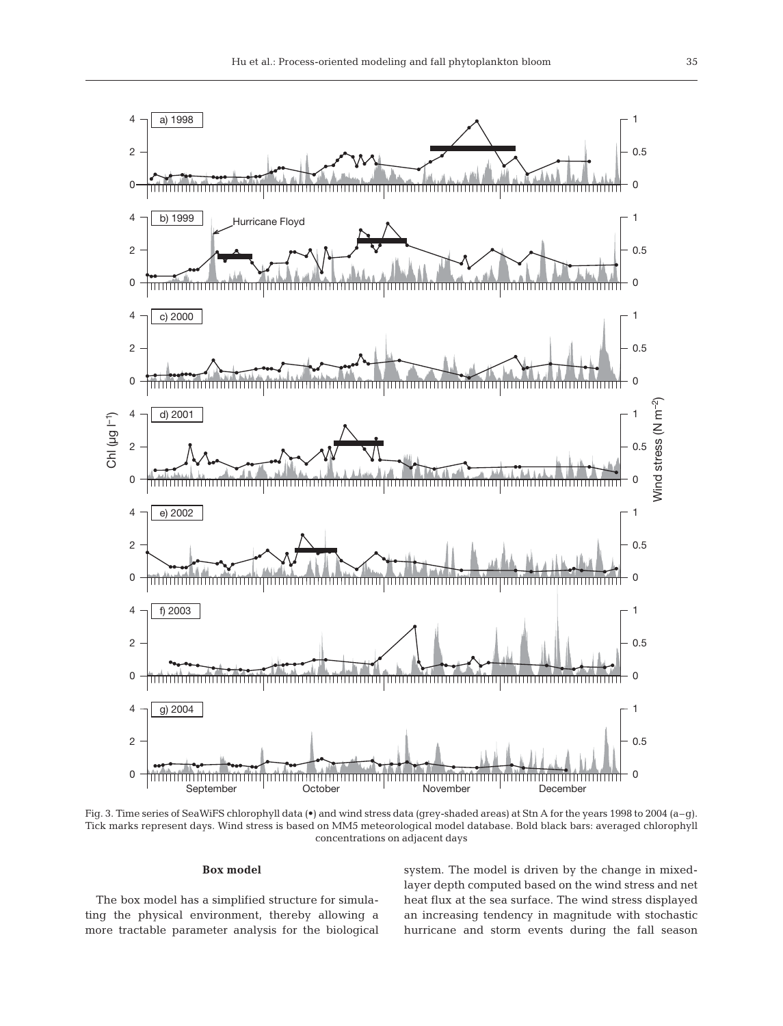

Fig. 3. Time series of SeaWiFS chlorophyll data (•) and wind stress data (grey-shaded areas) at Stn A for the years 1998 to 2004 (a–g). Tick marks represent days. Wind stress is based on MM5 meteorological model database. Bold black bars: averaged chlorophyll concentrations on adjacent days

#### **Box model**

The box model has a simplified structure for simula ting the physical environment, thereby allowing a more tractable parameter analysis for the biological system. The model is driven by the change in mixedlayer depth computed based on the wind stress and net heat flux at the sea surface. The wind stress displayed an increasing tendency in magnitude with stochastic hurricane and storm events during the fall season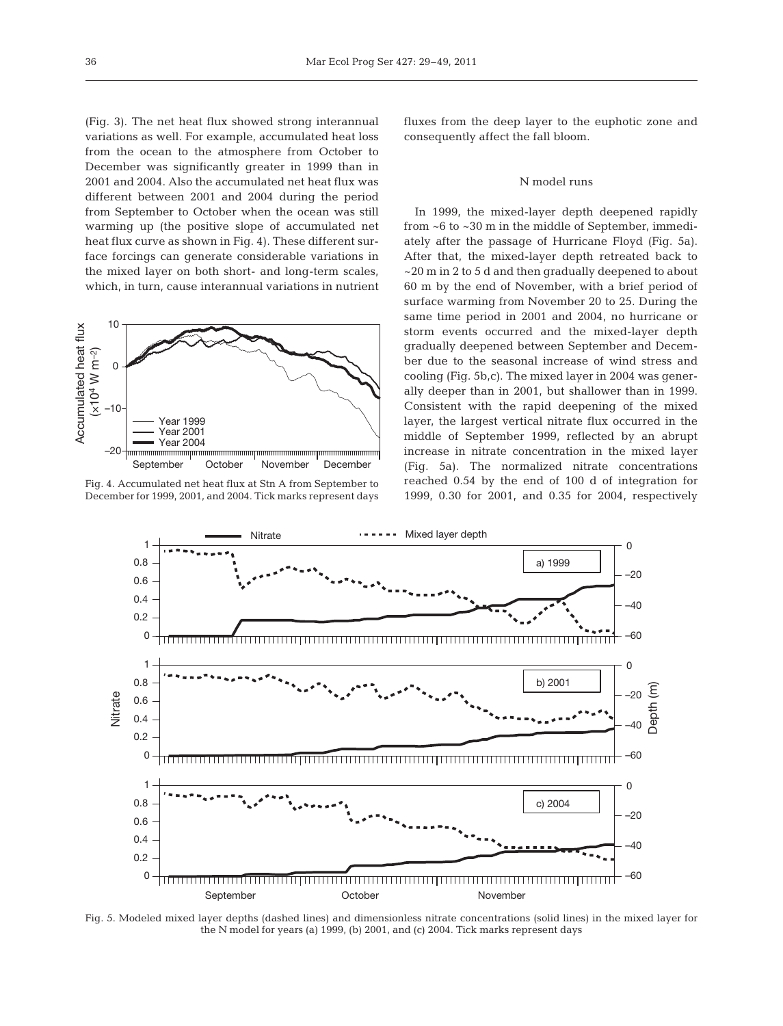(Fig. 3). The net heat flux showed strong interannual variations as well. For example, accumulated heat loss from the ocean to the atmosphere from October to December was significantly greater in 1999 than in 2001 and 2004. Also the accumulated net heat flux was different between 2001 and 2004 during the period from September to October when the ocean was still warming up (the positive slope of accumulated net heat flux curve as shown in Fig. 4). These different surface forcings can generate considerable variations in the mixed layer on both short- and long-term scales, which, in turn, cause interannual variations in nutrient



Fig. 4. Accumulated net heat flux at Stn A from September to December for 1999, 2001, and 2004. Tick marks represent days

fluxes from the deep layer to the euphotic zone and consequently affect the fall bloom.

## N model runs

In 1999, the mixed-layer depth deepened rapidly from ~6 to ~30 m in the middle of September, immediately after the passage of Hurricane Floyd (Fig. 5a). After that, the mixed-layer depth retreated back to ~20 m in 2 to 5 d and then gradually deepened to about 60 m by the end of November, with a brief period of surface warming from November 20 to 25. During the same time period in 2001 and 2004, no hurricane or storm events occurred and the mixed-layer depth gradually deepened between September and December due to the seasonal increase of wind stress and cooling (Fig. 5b,c). The mixed layer in 2004 was generally deeper than in 2001, but shallower than in 1999. Consistent with the rapid deepening of the mixed layer, the largest vertical nitrate flux occurred in the middle of September 1999, reflected by an abrupt increase in nitrate concentration in the mixed layer (Fig. 5a). The normalized nitrate concentrations reached 0.54 by the end of 100 d of integration for 1999, 0.30 for 2001, and 0.35 for 2004, respectively



Fig. 5. Modeled mixed layer depths (dashed lines) and dimensionless nitrate concentrations (solid lines) in the mixed layer for the N model for years (a) 1999, (b) 2001, and (c) 2004. Tick marks represent days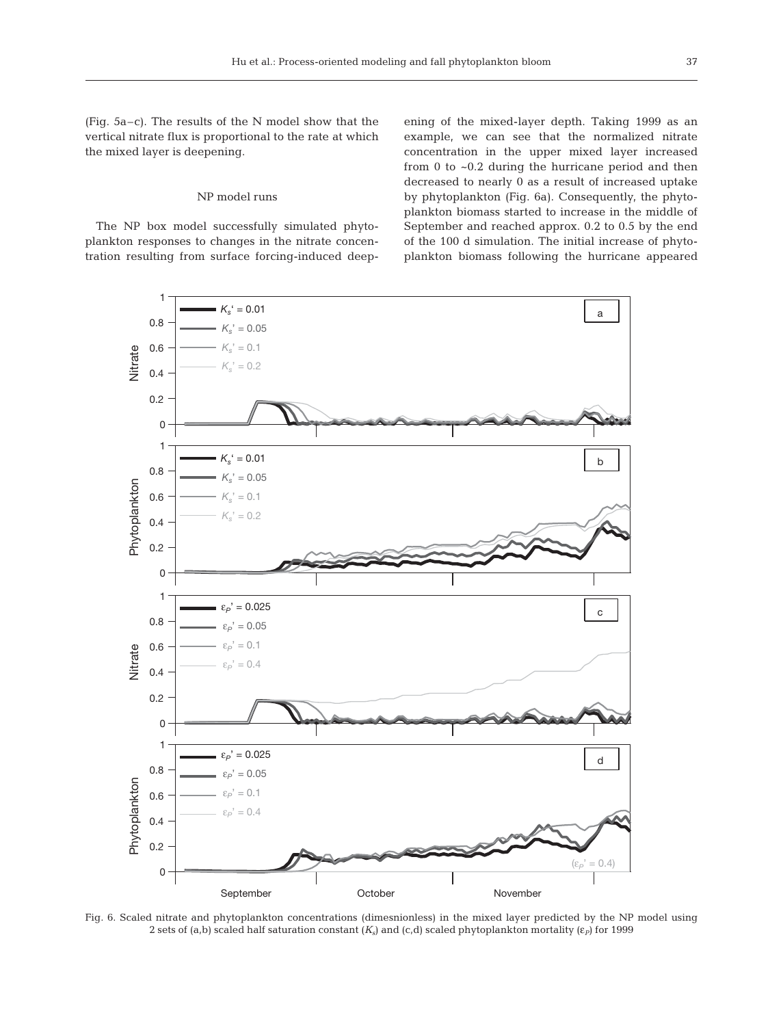(Fig. 5a–c). The results of the N model show that the vertical nitrate flux is proportional to the rate at which the mixed layer is deepening.

# NP model runs

The NP box model successfully simulated phytoplankton responses to changes in the nitrate concentration resulting from surface forcing-induced deepening of the mixed-layer depth. Taking 1999 as an example, we can see that the normalized nitrate concentration in the upper mixed layer increased from 0 to ~0.2 during the hurricane period and then decreased to nearly 0 as a result of increased uptake by phytoplankton (Fig. 6a). Consequently, the phytoplankton biomass started to increase in the middle of September and reached approx. 0.2 to 0.5 by the end of the 100 d simulation. The initial increase of phytoplankton biomass following the hurricane appeared



Fig. 6. Scaled nitrate and phytoplankton concentrations (dimesnionless) in the mixed layer predicted by the NP model using 2 sets of (a,b) scaled half saturation constant  $(K_s)$  and (c,d) scaled phytoplankton mortality ( $\varepsilon$ *P*) for 1999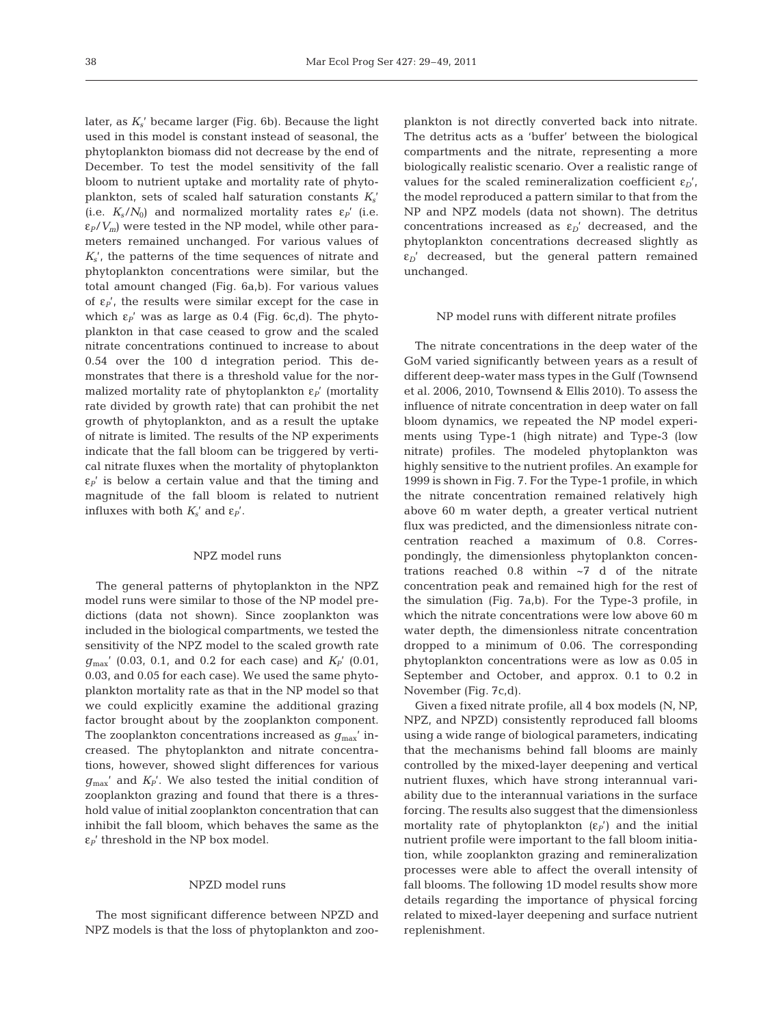later, as *Ks*' became larger (Fig. 6b). Because the light used in this model is constant instead of seasonal, the phytoplankton biomass did not decrease by the end of December. To test the model sensitivity of the fall bloom to nutrient uptake and mortality rate of phytoplankton, sets of scaled half saturation constants  $K_s$ (i.e.  $K_s/N_0$ ) and normalized mortality rates  $\varepsilon_p$ <sup>'</sup> (i.e.  $\varepsilon_P/V_m$ ) were tested in the NP model, while other parameters remained unchanged. For various values of *Ks*', the patterns of the time sequences of nitrate and phytoplankton concentrations were similar, but the total amount changed (Fig. 6a,b). For various values of  $\epsilon_{P}$ ', the results were similar except for the case in which ε*P*' was as large as 0.4 (Fig. 6c,d). The phytoplankton in that case ceased to grow and the scaled nitrate concentrations continued to increase to about 0.54 over the 100 d integration period. This demonstrates that there is a threshold value for the normalized mortality rate of phytoplankton ε*P*' (mortality rate divided by growth rate) that can prohibit the net growth of phytoplankton, and as a result the uptake of nitrate is limited. The results of the NP experiments indicate that the fall bloom can be triggered by vertical nitrate fluxes when the mortality of phytoplankton  $\varepsilon_p$ ' is below a certain value and that the timing and magnitude of the fall bloom is related to nutrient influxes with both  $K_s'$  and  $\varepsilon_P'$ .

# NPZ model runs

The general patterns of phytoplankton in the NPZ model runs were similar to those of the NP model predictions (data not shown). Since zooplankton was included in the biological compartments, we tested the sensitivity of the NPZ model to the scaled growth rate *g*max' (0.03, 0.1, and 0.2 for each case) and *KP*' (0.01, 0.03, and 0.05 for each case). We used the same phytoplankton mortality rate as that in the NP model so that we could explicitly examine the additional grazing factor brought about by the zooplankton component. The zooplankton concentrations increased as  $g_{\text{max}}'$  increased. The phytoplankton and nitrate concentrations, however, showed slight differences for various  $g_{\text{max}}'$  and  $K_p'$ . We also tested the initial condition of zooplankton grazing and found that there is a threshold value of initial zooplankton concentration that can inhibit the fall bloom, which behaves the same as the  $\varepsilon$ <sup>*P*</sup>' threshold in the NP box model.

# NPZD model runs

The most significant difference between NPZD and NPZ models is that the loss of phytoplankton and zoo-

plankton is not directly converted back into nitrate. The detritus acts as a 'buffer' between the biological compartments and the nitrate, representing a more biologically realistic scenario. Over a realistic range of values for the scaled remineralization coefficient  $\varepsilon_D'$ , the model reproduced a pattern similar to that from the NP and NPZ models (data not shown). The detritus concentrations increased as  $\varepsilon_D$ <sup>'</sup> decreased, and the phytoplankton concentrations decreased slightly as  $\varepsilon_D$ ' decreased, but the general pattern remained unchanged.

#### NP model runs with different nitrate profiles

The nitrate concentrations in the deep water of the GoM varied significantly between years as a result of different deep-water mass types in the Gulf (Townsend et al. 2006, 2010, Townsend & Ellis 2010). To assess the influence of nitrate concentration in deep water on fall bloom dynamics, we repeated the NP model experiments using Type-1 (high nitrate) and Type-3 (low nitrate) profiles. The modeled phytoplankton was highly sensitive to the nutrient profiles. An example for 1999 is shown in Fig. 7. For the Type-1 profile, in which the nitrate concentration remained relatively high above 60 m water depth, a greater vertical nutrient flux was predicted, and the dimensionless nitrate concentration reached a maximum of 0.8. Correspondingly, the dimensionless phytoplankton concentrations reached 0.8 within ~7 d of the nitrate concentration peak and remained high for the rest of the simulation (Fig. 7a,b). For the Type-3 profile, in which the nitrate concentrations were low above 60 m water depth, the dimensionless nitrate concentration dropped to a minimum of 0.06. The corresponding phytoplankton concentrations were as low as 0.05 in September and October, and approx. 0.1 to 0.2 in November (Fig. 7c,d).

Given a fixed nitrate profile, all 4 box models (N, NP, NPZ, and NPZD) consistently reproduced fall blooms using a wide range of biological parameters, indicating that the mechanisms behind fall blooms are mainly controlled by the mixed-layer deepening and vertical nutrient fluxes, which have strong interannual variability due to the interannual variations in the surface forcing. The results also suggest that the dimensionless mortality rate of phytoplankton  $(\varepsilon_P')$  and the initial nutrient profile were important to the fall bloom initiation, while zooplankton grazing and remineralization processes were able to affect the overall intensity of fall blooms. The following 1D model results show more details regarding the importance of physical forcing related to mixed-layer deepening and surface nutrient replenishment.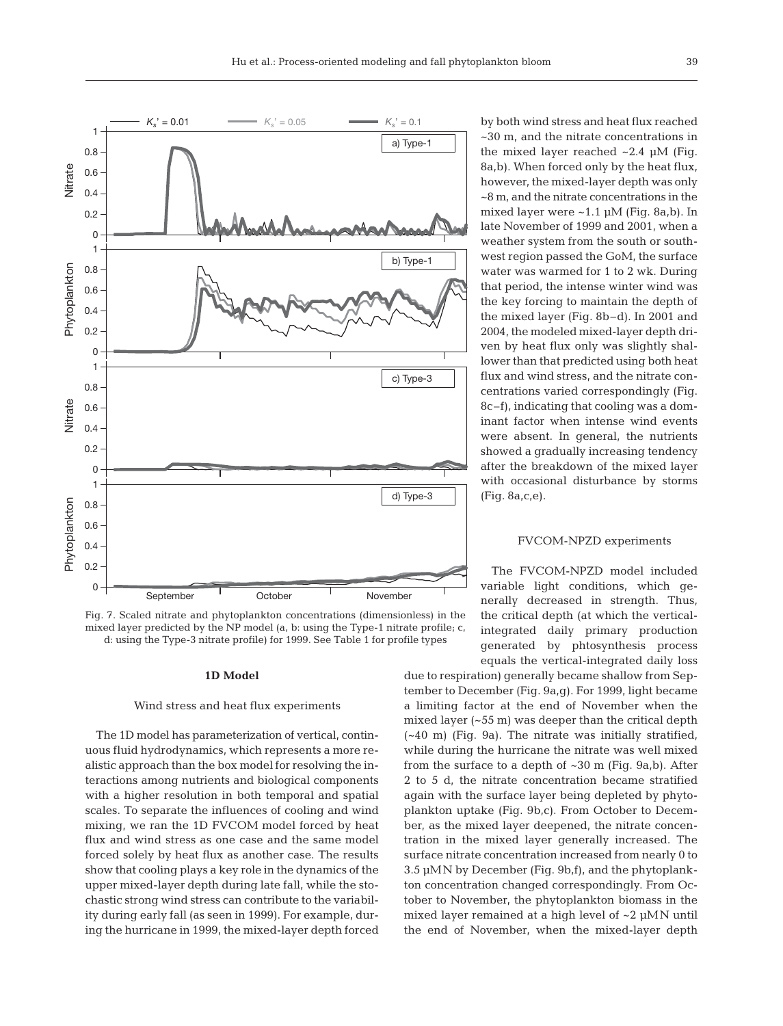

Fig. 7. Scaled nitrate and phytoplankton concentrations (dimensionless) in the mixed layer predicted by the NP model (a, b: using the Type-1 nitrate profile; c, d: using the Type-3 nitrate profile) for 1999. See Table 1 for profile types

# **1D Model**

#### Wind stress and heat flux experiments

The 1D model has parameterization of vertical, continuous fluid hydrodynamics, which represents a more realistic approach than the box model for resolving the interactions among nutrients and biological components with a higher resolution in both temporal and spatial scales. To separate the influences of cooling and wind mixing, we ran the 1D FVCOM model forced by heat flux and wind stress as one case and the same model forced solely by heat flux as another case. The results show that cooling plays a key role in the dynamics of the upper mixed-layer depth during late fall, while the stochastic strong wind stress can contribute to the variability during early fall (as seen in 1999). For example, during the hurricane in 1999, the mixed-layer depth forced by both wind stress and heat flux reached ~30 m, and the nitrate concentrations in the mixed layer reached ~2.4 μM (Fig. 8a,b). When forced only by the heat flux, however, the mixed-layer depth was only ~8 m, and the nitrate concentrations in the mixed layer were  $~1.1 \mu M$  (Fig. 8a,b). In late November of 1999 and 2001, when a weather system from the south or southwest region passed the GoM, the surface water was warmed for 1 to 2 wk. During that period, the intense winter wind was the key forcing to maintain the depth of the mixed layer (Fig. 8b–d). In 2001 and 2004, the modeled mixed-layer depth driven by heat flux only was slightly shallower than that predicted using both heat flux and wind stress, and the nitrate concentrations varied correspondingly (Fig. 8c–f), indicating that cooling was a dominant factor when intense wind events were absent. In general, the nutrients showed a gradually increasing tendency after the breakdown of the mixed layer with occasional disturbance by storms (Fig. 8a,c,e).

#### FVCOM-NPZD experiments

The FVCOM-NPZD model included variable light conditions, which generally decreased in strength. Thus, the critical depth (at which the verticalintegrated daily primary production generated by phtosynthesis process equals the vertical-integrated daily loss

due to respiration) generally became shallow from September to December (Fig. 9a,g). For 1999, light became a limiting factor at the end of November when the mixed layer (~55 m) was deeper than the critical depth (~40 m) (Fig. 9a). The nitrate was initially stratified, while during the hurricane the nitrate was well mixed from the surface to a depth of ~30 m (Fig. 9a,b). After 2 to 5 d, the nitrate concentration became stratified again with the surface layer being depleted by phytoplankton uptake (Fig. 9b,c). From October to December, as the mixed layer deepened, the nitrate concentration in the mixed layer generally increased. The surface nitrate concentration increased from nearly 0 to 3.5 μMN by December (Fig. 9b,f), and the phytoplankton concentration changed correspondingly. From October to November, the phytoplankton biomass in the mixed layer remained at a high level of ~2 μMN until the end of November, when the mixed-layer depth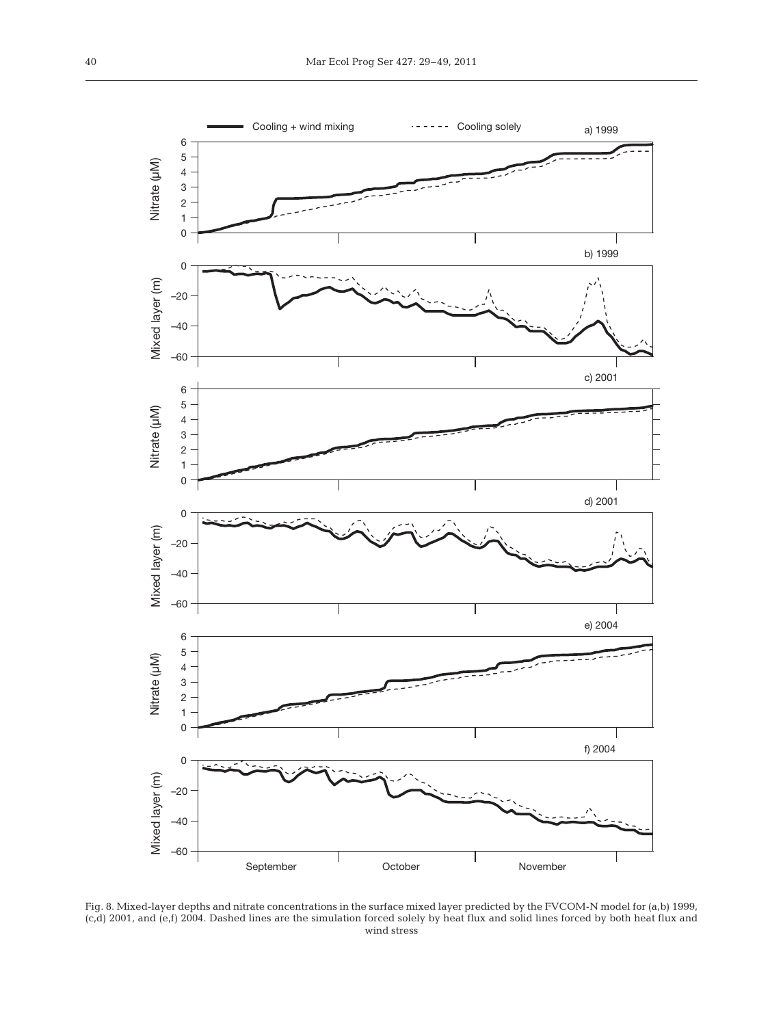

Fig. 8. Mixed-layer depths and nitrate concentrations in the surface mixed layer predicted by the FVCOM-N model for (a,b) 1999, (c,d) 2001, and (e,f) 2004. Dashed lines are the simulation forced solely by heat flux and solid lines forced by both heat flux and wind stress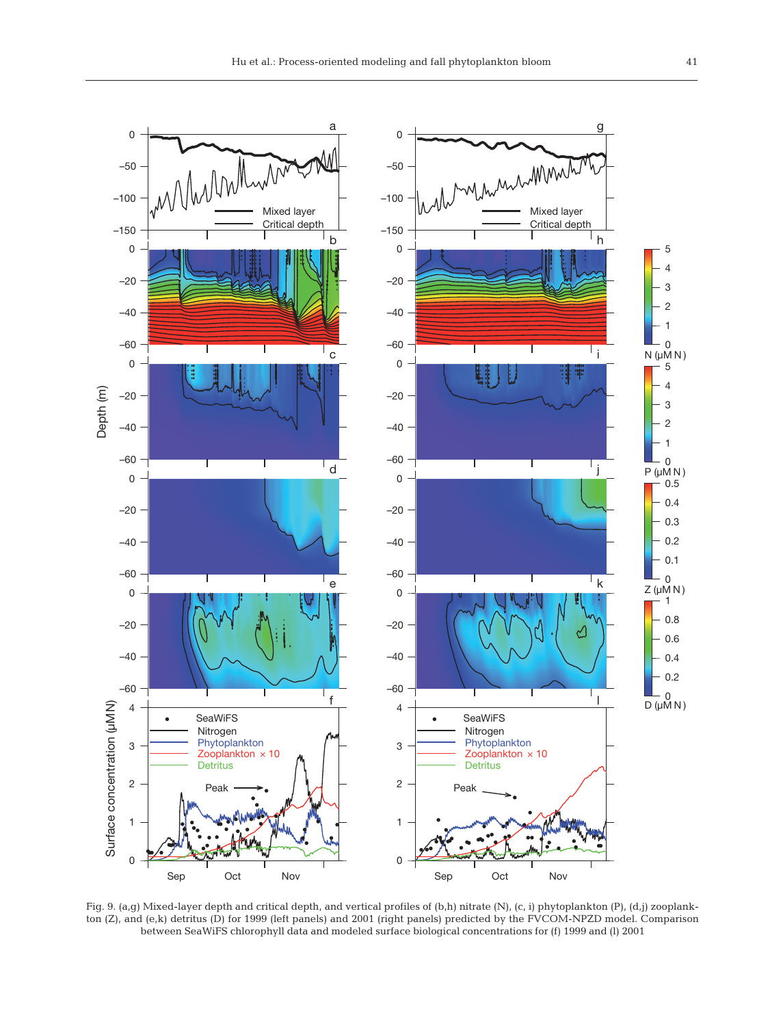

Fig. 9. (a,g) Mixed-layer depth and critical depth, and vertical profiles of (b,h) nitrate (N), (c, i) phytoplankton (P), (d,j) zooplankton (Z), and (e,k) detritus (D) for 1999 (left panels) and 2001 (right panels) predicted by the FVCOM-NPZD model. Comparison between SeaWiFS chlorophyll data and modeled surface biological concentrations for (f) 1999 and (l) 2001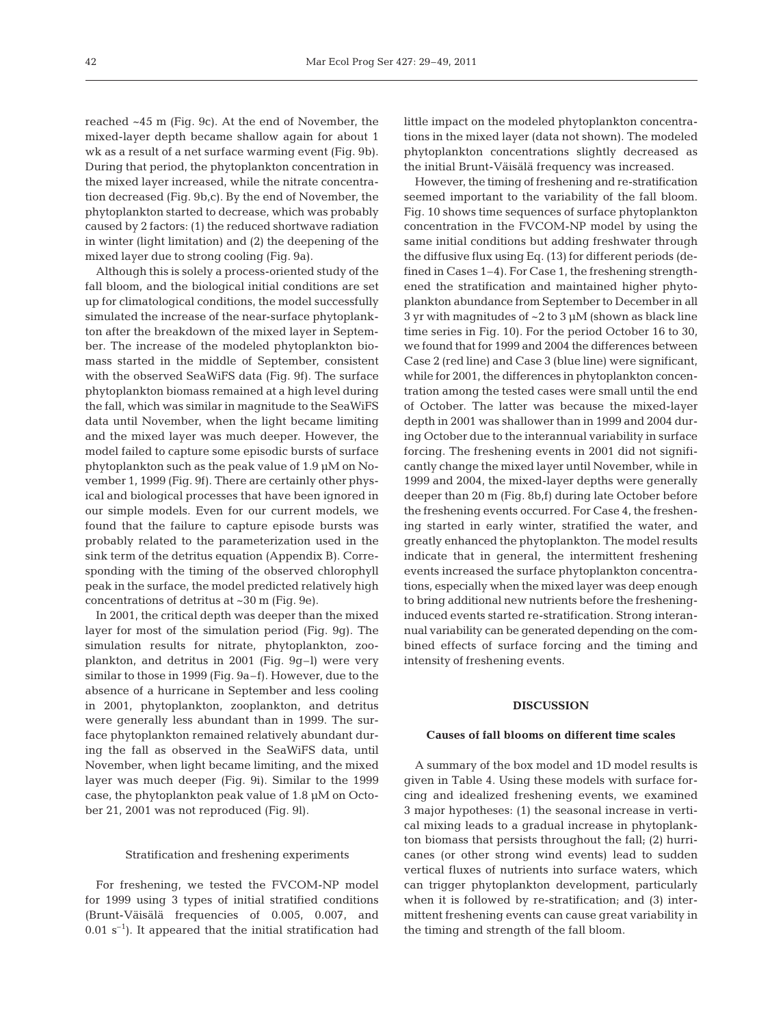reached ~45 m (Fig. 9c). At the end of November, the mixed-layer depth became shallow again for about 1 wk as a result of a net surface warming event (Fig. 9b). During that period, the phytoplankton concentration in the mixed layer increased, while the nitrate concentration decreased (Fig. 9b,c). By the end of November, the phytoplankton started to decrease, which was probably caused by 2 factors: (1) the reduced shortwave radiation in winter (light limitation) and (2) the deepening of the mixed layer due to strong cooling (Fig. 9a).

Although this is solely a process-oriented study of the fall bloom, and the biological initial conditions are set up for climatological conditions, the model successfully simulated the increase of the near-surface phytoplankton after the breakdown of the mixed layer in September. The increase of the modeled phytoplankton biomass started in the middle of September, consistent with the observed SeaWiFS data (Fig. 9f). The surface phytoplankton biomass remained at a high level during the fall, which was similar in magnitude to the SeaWiFS data until November, when the light became limiting and the mixed layer was much deeper. However, the model failed to capture some episodic bursts of surface phytoplankton such as the peak value of 1.9 μM on November 1, 1999 (Fig. 9f). There are certainly other physical and biological processes that have been ignored in our simple models. Even for our current models, we found that the failure to capture episode bursts was probably related to the parameterization used in the sink term of the detritus equation (Appendix B). Corresponding with the timing of the observed chlorophyll peak in the surface, the model predicted relatively high concentrations of detritus at ~30 m (Fig. 9e).

In 2001, the critical depth was deeper than the mixed layer for most of the simulation period (Fig. 9g). The simulation results for nitrate, phytoplankton, zooplankton, and detritus in 2001 (Fig. 9g–l) were very similar to those in 1999 (Fig. 9a–f). However, due to the absence of a hurricane in September and less cooling in 2001, phytoplankton, zooplankton, and detritus were generally less abundant than in 1999. The surface phytoplankton remained relatively abundant during the fall as observed in the SeaWiFS data, until November, when light became limiting, and the mixed layer was much deeper (Fig. 9i). Similar to the 1999 case, the phytoplankton peak value of 1.8 μM on October 21, 2001 was not reproduced (Fig. 9l).

#### Stratification and freshening experiments

For freshening, we tested the FVCOM-NP model for 1999 using 3 types of initial stratified conditions (Brunt-Väisälä frequencies of 0.005, 0.007, and  $0.01$  s<sup>-1</sup>). It appeared that the initial stratification had little impact on the modeled phytoplankton concentrations in the mixed layer (data not shown). The modeled phytoplankton concentrations slightly decreased as the initial Brunt-Väisälä frequency was increased.

However, the timing of freshening and re-stratification seemed important to the variability of the fall bloom. Fig. 10 shows time sequences of surface phytoplankton concentration in the FVCOM-NP model by using the same initial conditions but adding freshwater through the diffusive flux using Eq. (13) for different periods (defined in Cases 1–4). For Case 1, the freshening strengthened the stratification and maintained higher phytoplankton abundance from September to December in all 3 yr with magnitudes of ~2 to 3 μM (shown as black line time series in Fig. 10). For the period October 16 to 30, we found that for 1999 and 2004 the differences between Case 2 (red line) and Case 3 (blue line) were significant, while for 2001, the differences in phytoplankton concentration among the tested cases were small until the end of October. The latter was because the mixed-layer depth in 2001 was shallower than in 1999 and 2004 during October due to the interannual variability in surface forcing. The freshening events in 2001 did not significantly change the mixed layer until November, while in 1999 and 2004, the mixed-layer depths were generally deeper than 20 m (Fig. 8b,f) during late October before the freshening events occurred. For Case 4, the freshening started in early winter, stratified the water, and greatly enhanced the phytoplankton. The model results indicate that in general, the intermittent freshening events increased the surface phytoplankton concentrations, especially when the mixed layer was deep enough to bring additional new nutrients before the fresheninginduced events started re-stratification. Strong interannual variability can be generated depending on the combined effects of surface forcing and the timing and intensity of freshening events.

# **DISCUSSION**

# **Causes of fall blooms on different time scales**

A summary of the box model and 1D model results is given in Table 4. Using these models with surface for cing and idealized freshening events, we examined 3 major hypotheses: (1) the seasonal increase in vertical mixing leads to a gradual increase in phytoplankton biomass that persists throughout the fall; (2) hurricanes (or other strong wind events) lead to sudden vertical fluxes of nutrients into surface waters, which can trigger phytoplankton development, particularly when it is followed by re-stratification; and (3) intermittent freshening events can cause great variability in the timing and strength of the fall bloom.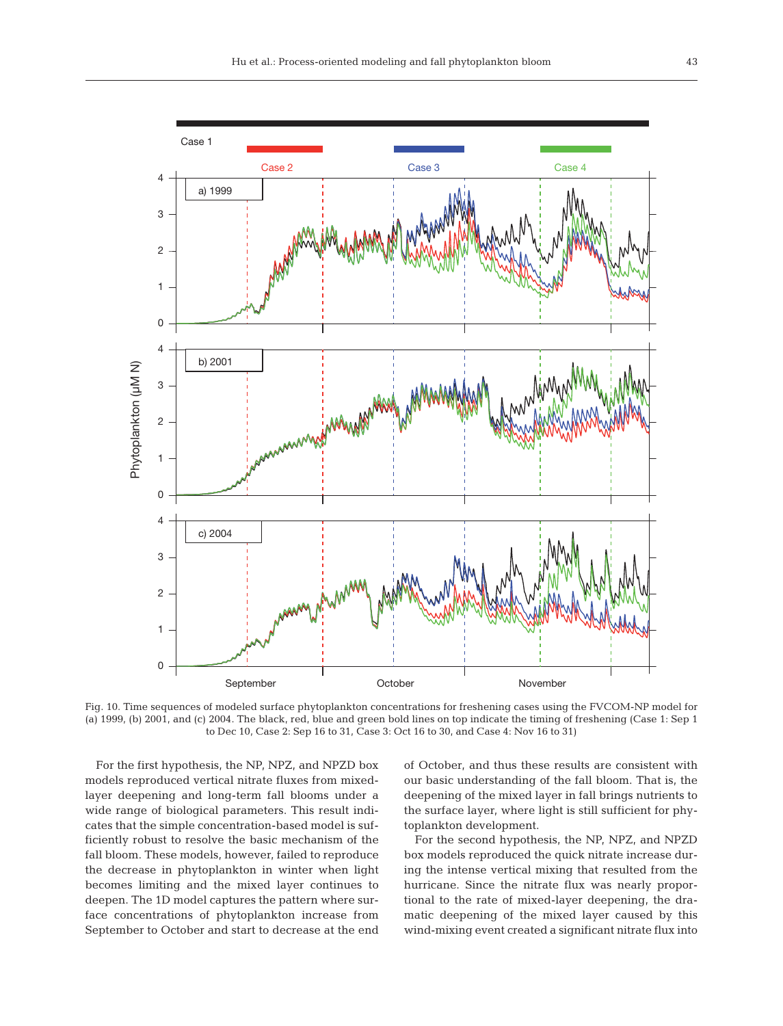

Fig. 10. Time sequences of modeled surface phytoplankton concentrations for freshening cases using the FVCOM-NP model for (a) 1999, (b) 2001, and (c) 2004. The black, red, blue and green bold lines on top indicate the timing of freshening (Case 1: Sep 1 to Dec 10, Case 2: Sep 16 to 31, Case 3: Oct 16 to 30, and Case 4: Nov 16 to 31)

For the first hypothesis, the NP, NPZ, and NPZD box models reproduced vertical nitrate fluxes from mixedlayer deepening and long-term fall blooms under a wide range of biological parameters. This result indicates that the simple concentration-based model is sufficiently robust to resolve the basic mechanism of the fall bloom. These models, however, failed to reproduce the decrease in phytoplankton in winter when light becomes limiting and the mixed layer continues to deepen. The 1D model captures the pattern where surface concentrations of phytoplankton increase from September to October and start to decrease at the end of October, and thus these results are consistent with our basic understanding of the fall bloom. That is, the deepening of the mixed layer in fall brings nutrients to the surface layer, where light is still sufficient for phytoplankton development.

For the second hypothesis, the NP, NPZ, and NPZD box models reproduced the quick nitrate increase during the intense vertical mixing that resulted from the hurricane. Since the nitrate flux was nearly proportional to the rate of mixed-layer deepening, the dramatic deepening of the mixed layer caused by this wind-mixing event created a significant nitrate flux into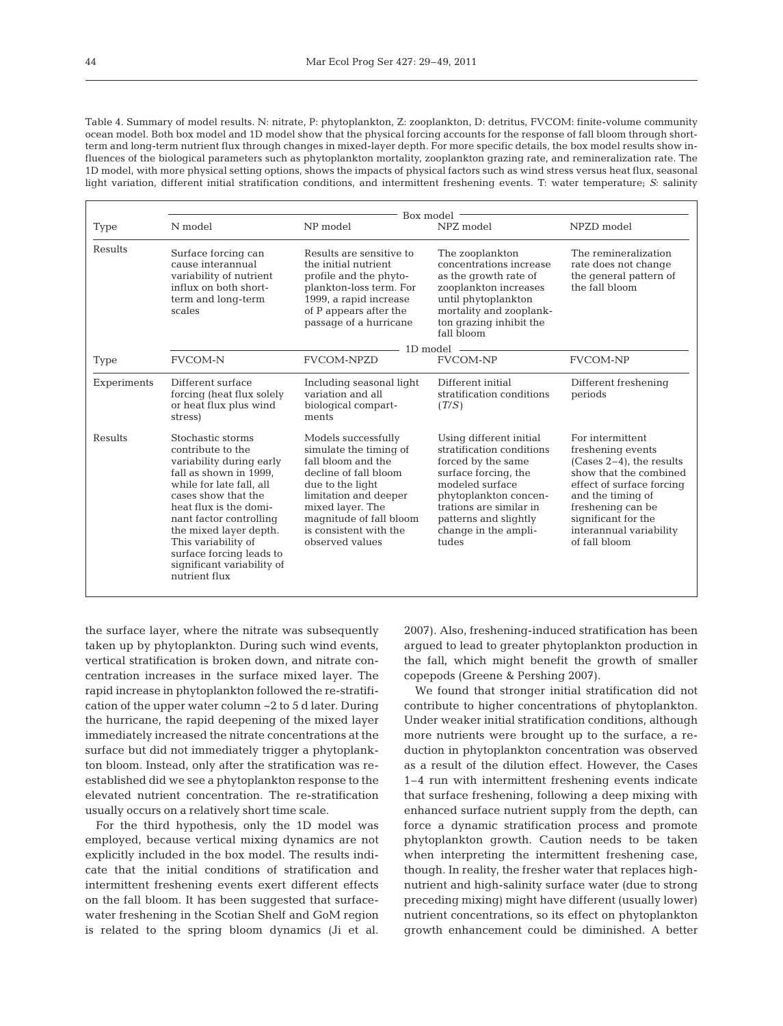Table 4. Summary of model results. N: nitrate, P: phytoplankton, Z: zooplankton, D: detritus, FVCOM: finite-volume community ocean model. Both box model and 1D model show that the physical forcing accounts for the response of fall bloom through shortterm and long-term nutrient flux through changes in mixed-layer depth. For more specific details, the box model results show influences of the biological parameters such as phytoplankton mortality, zooplankton grazing rate, and remineralization rate. The 1D model, with more physical setting options, shows the impacts of physical factors such as wind stress versus heat flux, seasonal light variation, different initial stratification conditions, and intermittent freshening events. T: water temperature; *S*: salinity

|             | Box model -                                                                                                                                                                                                                                                                                                                      |                                                                                                                                                                                                                                       |                                                                                                                                                                                                                                     |                                                                                                                                                                                                                                          |  |
|-------------|----------------------------------------------------------------------------------------------------------------------------------------------------------------------------------------------------------------------------------------------------------------------------------------------------------------------------------|---------------------------------------------------------------------------------------------------------------------------------------------------------------------------------------------------------------------------------------|-------------------------------------------------------------------------------------------------------------------------------------------------------------------------------------------------------------------------------------|------------------------------------------------------------------------------------------------------------------------------------------------------------------------------------------------------------------------------------------|--|
| Type        | N model                                                                                                                                                                                                                                                                                                                          | NP model                                                                                                                                                                                                                              | NPZ model                                                                                                                                                                                                                           | NPZD model                                                                                                                                                                                                                               |  |
| Results     | Surface forcing can<br>cause interannual<br>variability of nutrient<br>influx on both short-<br>term and long-term<br>scales                                                                                                                                                                                                     | Results are sensitive to<br>the initial nutrient<br>profile and the phyto-<br>plankton-loss term. For<br>1999, a rapid increase<br>of P appears after the<br>passage of a hurricane                                                   | The zooplankton<br>concentrations increase<br>as the growth rate of<br>zooplankton increases<br>until phytoplankton<br>mortality and zooplank-<br>ton grazing inhibit the<br>fall bloom<br>$1D \text{ model}$ —                     | The remineralization<br>rate does not change<br>the general pattern of<br>the fall bloom                                                                                                                                                 |  |
| Type        | <b>FVCOM-N</b>                                                                                                                                                                                                                                                                                                                   | <b>FVCOM-NPZD</b>                                                                                                                                                                                                                     | <b>FVCOM-NP</b>                                                                                                                                                                                                                     | <b>FVCOM-NP</b>                                                                                                                                                                                                                          |  |
| Experiments | Different surface<br>forcing (heat flux solely<br>or heat flux plus wind<br>stress)                                                                                                                                                                                                                                              | Including seasonal light<br>variation and all<br>biological compart-<br>ments                                                                                                                                                         | Different initial<br>stratification conditions<br>(T/S)                                                                                                                                                                             | Different freshening<br>periods                                                                                                                                                                                                          |  |
| Results     | Stochastic storms<br>contribute to the<br>variability during early<br>fall as shown in 1999,<br>while for late fall, all<br>cases show that the<br>heat flux is the domi-<br>nant factor controlling<br>the mixed layer depth.<br>This variability of<br>surface forcing leads to<br>significant variability of<br>nutrient flux | Models successfully<br>simulate the timing of<br>fall bloom and the<br>decline of fall bloom<br>due to the light<br>limitation and deeper<br>mixed layer. The<br>magnitude of fall bloom<br>is consistent with the<br>observed values | Using different initial<br>stratification conditions<br>forced by the same<br>surface forcing, the<br>modeled surface<br>phytoplankton concen-<br>trations are similar in<br>patterns and slightly<br>change in the ampli-<br>tudes | For intermittent<br>freshening events<br>$(Cases 2-4)$ , the results<br>show that the combined<br>effect of surface forcing<br>and the timing of<br>freshening can be<br>significant for the<br>interannual variability<br>of fall bloom |  |

the surface layer, where the nitrate was subsequently taken up by phytoplankton. During such wind events, vertical stratification is broken down, and nitrate concentration increases in the surface mixed layer. The rapid increase in phytoplankton followed the re-stratification of the upper water column ~2 to 5 d later. During the hurricane, the rapid deepening of the mixed layer immediately increased the nitrate concentrations at the surface but did not immediately trigger a phytoplankton bloom. Instead, only after the stratification was reestablished did we see a phytoplankton response to the elevated nutrient concentration. The re-stratification usually occurs on a relatively short time scale.

For the third hypothesis, only the 1D model was employed, because vertical mixing dynamics are not explicitly included in the box model. The results indicate that the initial conditions of stratification and intermittent freshening events exert different effects on the fall bloom. It has been suggested that surfacewater freshening in the Scotian Shelf and GoM region is related to the spring bloom dynamics (Ji et al. 2007). Also, freshening-induced stratification has been argued to lead to greater phytoplankton production in the fall, which might benefit the growth of smaller copepods (Greene & Pershing 2007).

We found that stronger initial stratification did not contribute to higher concentrations of phytoplankton. Under weaker initial stratification conditions, although more nutrients were brought up to the surface, a reduction in phytoplankton concentration was observed as a result of the dilution effect. However, the Cases 1–4 run with intermittent freshening events indicate that surface freshening, following a deep mixing with enhanced surface nutrient supply from the depth, can force a dynamic stratification process and promote phytoplankton growth. Caution needs to be taken when interpreting the intermittent freshening case, though. In reality, the fresher water that replaces highnutrient and high-salinity surface water (due to strong preceding mixing) might have different (usually lower) nutrient concentrations, so its effect on phytoplankton growth enhancement could be diminished. A better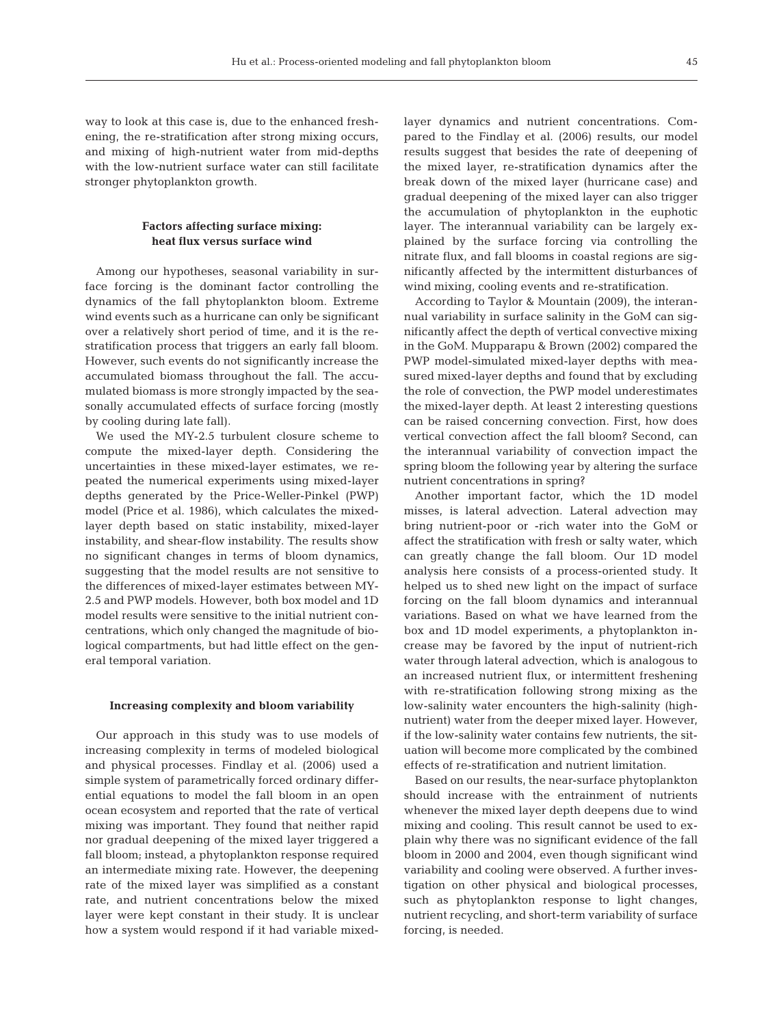way to look at this case is, due to the enhanced freshening, the re-stratification after strong mixing occurs, and mixing of high-nutrient water from mid-depths with the low-nutrient surface water can still facilitate stronger phytoplankton growth.

# **Factors affecting surface mixing: heat flux versus surface wind**

Among our hypotheses, seasonal variability in surface forcing is the dominant factor controlling the dynamics of the fall phytoplankton bloom. Extreme wind events such as a hurricane can only be significant over a relatively short period of time, and it is the restratification process that triggers an early fall bloom. However, such events do not significantly increase the accumulated biomass throughout the fall. The accumulated biomass is more strongly impacted by the seasonally accumulated effects of surface forcing (mostly by cooling during late fall).

We used the MY-2.5 turbulent closure scheme to compute the mixed-layer depth. Considering the uncertainties in these mixed-layer estimates, we re peated the numerical experiments using mixed-layer depths generated by the Price-Weller-Pinkel (PWP) model (Price et al. 1986), which calculates the mixedlayer depth based on static instability, mixed-layer instability, and shear-flow instability. The results show no significant changes in terms of bloom dynamics, suggesting that the model results are not sensitive to the differences of mixed-layer estimates between MY-2.5 and PWP models. However, both box model and 1D model results were sensitive to the initial nutrient concentrations, which only changed the magnitude of biological compartments, but had little effect on the general temporal variation.

#### **Increasing complexity and bloom variability**

Our approach in this study was to use models of increasing complexity in terms of modeled biological and physical processes. Findlay et al. (2006) used a simple system of parametrically forced ordinary differential equations to model the fall bloom in an open ocean ecosystem and reported that the rate of vertical mixing was important. They found that neither rapid nor gradual deepening of the mixed layer triggered a fall bloom; instead, a phytoplankton response required an intermediate mixing rate. However, the deepening rate of the mixed layer was simplified as a constant rate, and nutrient concentrations below the mixed layer were kept constant in their study. It is unclear how a system would respond if it had variable mixedlayer dynamics and nutrient concentrations. Compared to the Findlay et al. (2006) results, our model results suggest that besides the rate of deepening of the mixed layer, re-stratification dynamics after the break down of the mixed layer (hurricane case) and gradual deepening of the mixed layer can also trigger the accumulation of phytoplankton in the euphotic layer. The interannual variability can be largely explained by the surface forcing via controlling the nitrate flux, and fall blooms in coastal regions are significantly affected by the intermittent disturbances of wind mixing, cooling events and re-stratification.

According to Taylor & Mountain (2009), the interannual variability in surface salinity in the GoM can significantly affect the depth of vertical convective mixing in the GoM. Mupparapu & Brown (2002) compared the PWP model-simulated mixed-layer depths with measured mixed-layer depths and found that by excluding the role of convection, the PWP model underestimates the mixed-layer depth. At least 2 interesting questions can be raised concerning convection. First, how does vertical convection affect the fall bloom? Second, can the interannual variability of convection impact the spring bloom the following year by altering the surface nutrient concentrations in spring?

Another important factor, which the 1D model misses, is lateral advection. Lateral advection may bring nutrient-poor or -rich water into the GoM or affect the stratification with fresh or salty water, which can greatly change the fall bloom. Our 1D model analysis here consists of a process-oriented study. It helped us to shed new light on the impact of surface forcing on the fall bloom dynamics and interannual variations. Based on what we have learned from the box and 1D model experiments, a phytoplankton increase may be favored by the input of nutrient-rich water through lateral advection, which is analogous to an increased nutrient flux, or intermittent freshening with re-stratification following strong mixing as the low-salinity water encounters the high-salinity (highnutrient) water from the deeper mixed layer. However, if the low-salinity water contains few nutrients, the situation will become more complicated by the combined effects of re-stratification and nutrient limitation.

Based on our results, the near-surface phytoplankton should increase with the entrainment of nutrients whenever the mixed layer depth deepens due to wind mixing and cooling. This result cannot be used to explain why there was no significant evidence of the fall bloom in 2000 and 2004, even though significant wind variability and cooling were observed. A further investigation on other physical and biological processes, such as phytoplankton response to light changes, nutrient recycling, and short-term variability of surface forcing, is needed.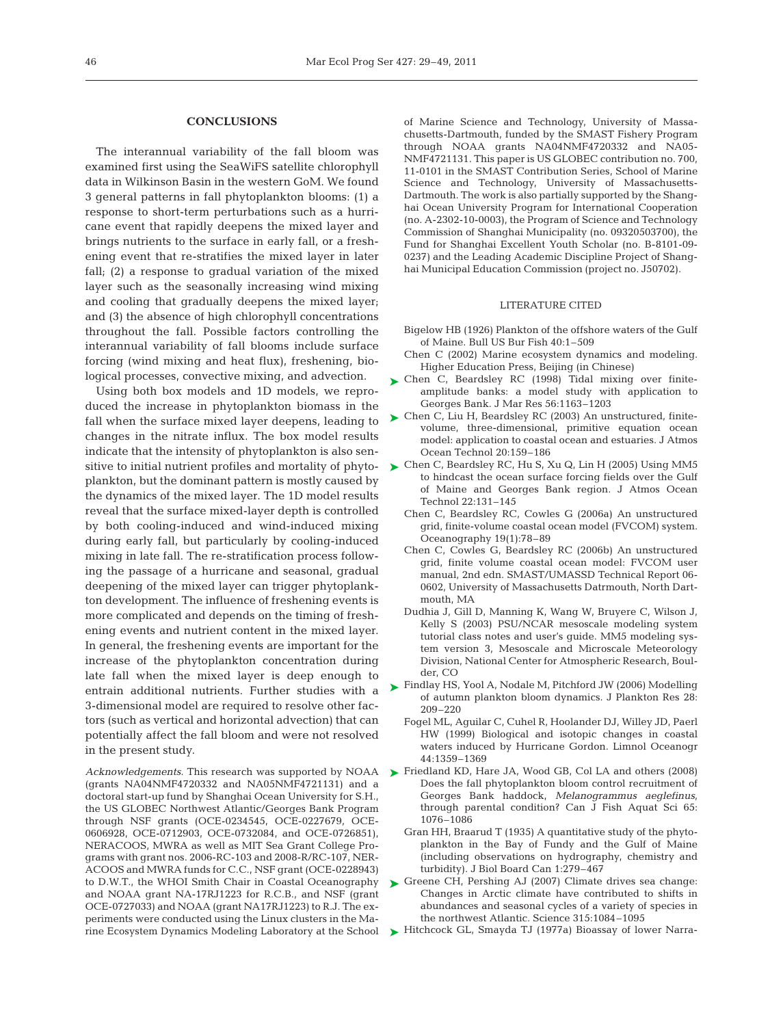## **CONCLUSIONS**

The interannual variability of the fall bloom was examined first using the SeaWiFS satellite chlorophyll data in Wilkinson Basin in the western GoM. We found 3 general patterns in fall phytoplankton blooms: (1) a response to short-term perturbations such as a hurricane event that rapidly deepens the mixed layer and brings nutrients to the surface in early fall, or a freshening event that re-stratifies the mixed layer in later fall; (2) a response to gradual variation of the mixed layer such as the seasonally increasing wind mixing and cooling that gradually deepens the mixed layer; and (3) the absence of high chlorophyll concentrations throughout the fall. Possible factors controlling the interannual variability of fall blooms include surface forcing (wind mixing and heat flux), freshening, biological processes, convective mixing, and advection.

Using both box models and 1D models, we reproduced the increase in phytoplankton biomass in the fall when the surface mixed layer deepens, leading to changes in the nitrate influx. The box model results indicate that the intensity of phytoplankton is also sensitive to initial nutrient profiles and mortality of phytoplankton, but the dominant pattern is mostly caused by the dynamics of the mixed layer. The 1D model results reveal that the surface mixed-layer depth is controlled by both cooling-induced and wind-induced mixing during early fall, but particularly by cooling-induced mixing in late fall. The re-stratification process following the passage of a hurricane and seasonal, gradual deepening of the mixed layer can trigger phytoplankton development. The influence of freshening events is more complicated and depends on the timing of freshening events and nutrient content in the mixed layer. In general, the freshening events are important for the increase of the phytoplankton concentration during late fall when the mixed layer is deep enough to entrain additional nutrients. Further studies with a 3-dimensional model are required to resolve other factors (such as vertical and horizontal advection) that can potentially affect the fall bloom and were not resolved in the present study.

(grants NA04NMF4720332 and NA05NMF4721131) and a doctoral start-up fund by Shanghai Ocean University for S.H., the US GLOBEC Northwest Atlantic/Georges Bank Program through NSF grants (OCE-0234545, OCE-0227679, OCE-0606928, OCE-0712903, OCE-0732084, and OCE-0726851), NERACOOS, MWRA as well as MIT Sea Grant College Programs with grant nos. 2006-RC-103 and 2008-R/RC-107, NER-ACOOS and MWRA funds for C.C., NSF grant (OCE-0228943) to D.W.T., the WHOI Smith Chair in Coastal Oceanography and NOAA grant NA-17RJ1223 for R.C.B., and NSF (grant OCE-0727033) and NOAA (grant NA17RJ1223) to R.J. The experiments were conducted using the Linux clusters in the Marine Ecosystem Dynamics Modeling Laboratory at the School  $\quad \blacktriangleright$  Hitchcock GL, Smayda TJ (1977a) Bioassay of lower Narra-

of Marine Science and Technology, University of Massa chusetts-Dartmouth, funded by the SMAST Fishery Program through NOAA grants NA04NMF4720332 and NA05-NMF4721131. This paper is US GLOBEC contribution no. 700, 11-0101 in the SMAST Contribution Series, School of Marine Science and Technology, University of Massachusetts-Dartmouth. The work is also partially supported by the Shanghai Ocean University Program for International Cooperation (no. A-2302-10-0003), the Program of Science and Technology Commission of Shanghai Municipality (no. 09320503700), the Fund for Shanghai Excellent Youth Scholar (no. B-8101-09- 0237) and the Leading Academic Discipline Project of Shanghai Municipal Education Commission (project no. J50702).

# LITERATURE CITED

- Bigelow HB (1926) Plankton of the offshore waters of the Gulf of Maine. Bull US Bur Fish 40:1–509
- Chen C (2002) Marine ecosystem dynamics and modeling. Higher Education Press, Beijing (in Chinese)
- ► Chen C, Beardsley RC (1998) Tidal mixing over finiteamplitude banks: a model study with application to Georges Bank. J Mar Res 56:1163–1203
- ► Chen C, Liu H, Beardsley RC (2003) An unstructured, finitevolume, three-dimensional, primitive equation ocean model: application to coastal ocean and estuaries. J Atmos Ocean Technol 20:159–186
- ► Chen C, Beardsley RC, Hu S, Xu Q, Lin H (2005) Using MM5 to hindcast the ocean surface forcing fields over the Gulf of Maine and Georges Bank region. J Atmos Ocean Technol 22:131–145
	- Chen C, Beardsley RC, Cowles G (2006a) An unstructured grid, finite-volume coastal ocean model (FVCOM) system. Oceanography 19(1):78–89
	- Chen C, Cowles G, Beardsley RC (2006b) An unstructured grid, finite volume coastal ocean model: FVCOM user manual, 2nd edn. SMAST/UMASSD Technical Report 06- 0602, University of Massachusetts Datrmouth, North Dartmouth, MA
	- Dudhia J, Gill D, Manning K, Wang W, Bruyere C, Wilson J, Kelly S (2003) PSU/NCAR mesoscale modeling system tutorial class notes and user's guide. MM5 modeling system version 3, Mesoscale and Microscale Meteorology Division, National Center for Atmospheric Research, Boulder, CO
- ► Findlay HS, Yool A, Nodale M, Pitchford JW (2006) Modelling of autumn plankton bloom dynamics. J Plankton Res 28: 209–220
	- Fogel ML, Aguilar C, Cuhel R, Hoolander DJ, Willey JD, Paerl HW (1999) Biological and isotopic changes in coastal waters induced by Hurricane Gordon. Limnol Oceanogr 44:1359–1369
- Acknowledgements. This research was supported by NOAA  $\blacktriangleright$  Friedland KD, Hare JA, Wood GB, Col LA and others (2008) Does the fall phytoplankton bloom control recruitment of Georges Bank haddock, *Melanogrammus aeglefinus*, through parental condition? Can J Fish Aquat Sci 65: 1076–1086
	- Gran HH, Braarud T (1935) A quantitative study of the phytoplankton in the Bay of Fundy and the Gulf of Maine (including observations on hydrography, chemistry and turbidity). J Biol Board Can 1:279–467
	- ► Greene CH, Pershing AJ (2007) Climate drives sea change: Changes in Arctic climate have contributed to shifts in abundances and seasonal cycles of a variety of species in the northwest Atlantic. Science 315:1084–1095
	-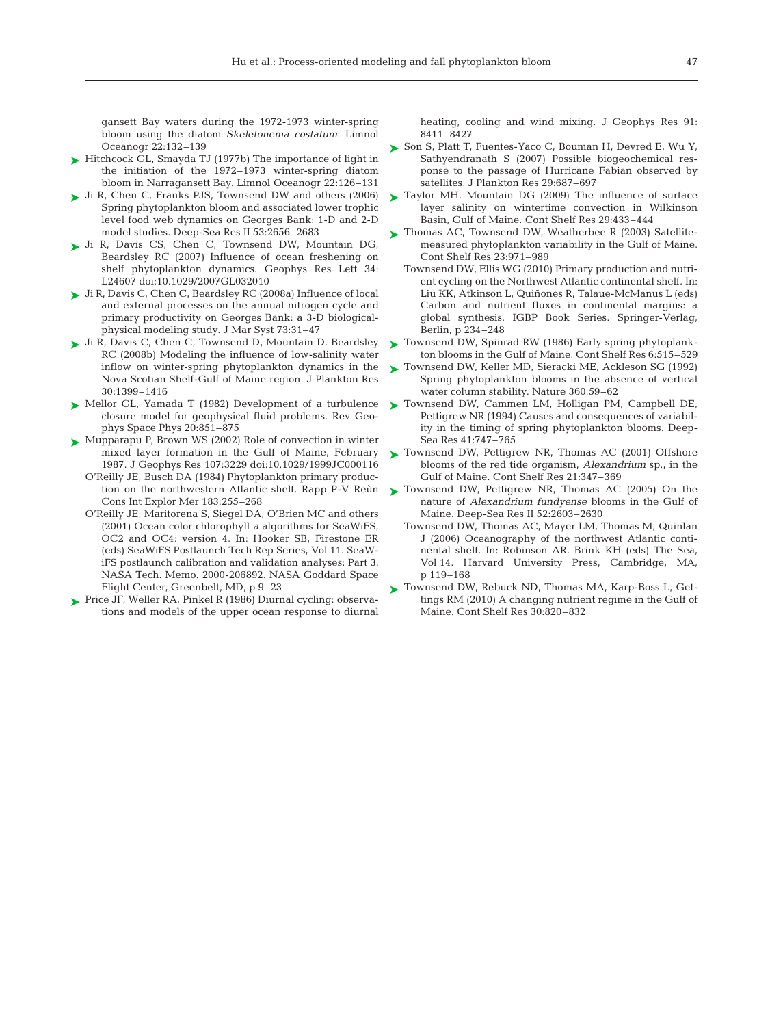gansett Bay waters during the 1972-1973 winter-spring bloom using the diatom *Skeletonema costatum*. Limnol Oceanogr 22:132–139

- ► Hitchcock GL, Smayda TJ (1977b) The importance of light in the initiation of the 1972–1973 winter-spring diatom bloom in Narragansett Bay. Limnol Oceanogr 22:126–131
- ► Ji R, Chen C, Franks PJS, Townsend DW and others (2006) Spring phytoplankton bloom and associated lower trophic level food web dynamics on Georges Bank: 1-D and 2-D model studies. Deep-Sea Res II 53:2656–2683
- ► Ji R, Davis CS, Chen C, Townsend DW, Mountain DG, Beardsley RC (2007) Influence of ocean freshening on shelf phytoplankton dynamics. Geophys Res Lett 34: L24607 doi:10.1029/2007GL032010
- Ji R, Davis C, Chen C, Beardsley RC (2008a) Influence of local ➤ and external processes on the annual nitrogen cycle and primary productivity on Georges Bank: a 3-D biologicalphysical modeling study. J Mar Syst 73:31–47
- ► Ji R, Davis C, Chen C, Townsend D, Mountain D, Beardsley RC (2008b) Modeling the influence of low-salinity water inflow on winter-spring phytoplankton dynamics in the Nova Scotian Shelf-Gulf of Maine region. J Plankton Res 30:1399–1416
- ► Mellor GL, Yamada T (1982) Development of a turbulence closure model for geophysical fluid problems. Rev Geophys Space Phys 20:851–875
- ► Mupparapu P, Brown WS (2002) Role of convection in winter mixed layer formation in the Gulf of Maine, February 1987. J Geophys Res 107:3229 doi:10.1029/1999JC000116
	- O'Reilly JE, Busch DA (1984) Phytoplankton primary production on the northwestern Atlantic shelf. Rapp P-V Reùn Cons Int Explor Mer 183:255–268
	- O'Reilly JE, Maritorena S, Siegel DA, O'Brien MC and others (2001) Ocean color chlorophyll *a* algorithms for SeaWiFS, OC2 and OC4: version 4. In: Hooker SB, Firestone ER (eds) SeaWiFS Postlaunch Tech Rep Series, Vol 11. SeaWiFS postlaunch calibration and validation analyses: Part 3. NASA Tech. Memo. 2000-206892. NASA Goddard Space Flight Center, Greenbelt, MD, p 9–23
- ► Price JF, Weller RA, Pinkel R (1986) Diurnal cycling: observations and models of the upper ocean response to diurnal

heating, cooling and wind mixing. J Geophys Res 91: 8411–8427

- ► Son S, Platt T, Fuentes-Yaco C, Bouman H, Devred E, Wu Y, Sathyendranath S (2007) Possible biogeochemical response to the passage of Hurricane Fabian observed by satellites. J Plankton Res 29:687–697
- ► Taylor MH, Mountain DG (2009) The influence of surface layer salinity on wintertime convection in Wilkinson Basin, Gulf of Maine. Cont Shelf Res 29:433–444
- ► Thomas AC, Townsend DW, Weatherbee R (2003) Satellitemeasured phytoplankton variability in the Gulf of Maine. Cont Shelf Res 23:971–989
	- Townsend DW, Ellis WG (2010) Primary production and nutrient cycling on the Northwest Atlantic continental shelf. In: Liu KK, Atkinson L, Quiñones R, Talaue-McManus L (eds) Carbon and nutrient fluxes in continental margins: a global synthesis. IGBP Book Series. Springer-Verlag, Berlin, p 234–248
- ► Townsend DW, Spinrad RW (1986) Early spring phytoplankton blooms in the Gulf of Maine. Cont Shelf Res 6:515–529
- ► Townsend DW, Keller MD, Sieracki ME, Ackleson SG (1992) Spring phytoplankton blooms in the absence of vertical water column stability. Nature 360:59–62
- ▶ Townsend DW, Cammen LM, Holligan PM, Campbell DE, Pettigrew NR (1994) Causes and consequences of variability in the timing of spring phytoplankton blooms. Deep-Sea Res 41:747–765
- ▶ Townsend DW, Pettigrew NR, Thomas AC (2001) Offshore blooms of the red tide organism, *Alexandrium* sp., in the Gulf of Maine. Cont Shelf Res 21:347–369
- ► Townsend DW, Pettigrew NR, Thomas AC (2005) On the nature of *Alexandrium fundyense* blooms in the Gulf of Maine. Deep-Sea Res II 52:2603–2630
	- Townsend DW, Thomas AC, Mayer LM, Thomas M, Quinlan J (2006) Oceanography of the northwest Atlantic continental shelf. In: Robinson AR, Brink KH (eds) The Sea, Vol 14. Harvard University Press, Cambridge, MA, p 119–168
- ▶ Townsend DW, Rebuck ND, Thomas MA, Karp-Boss L, Gettings RM (2010) A changing nutrient regime in the Gulf of Maine. Cont Shelf Res 30:820–832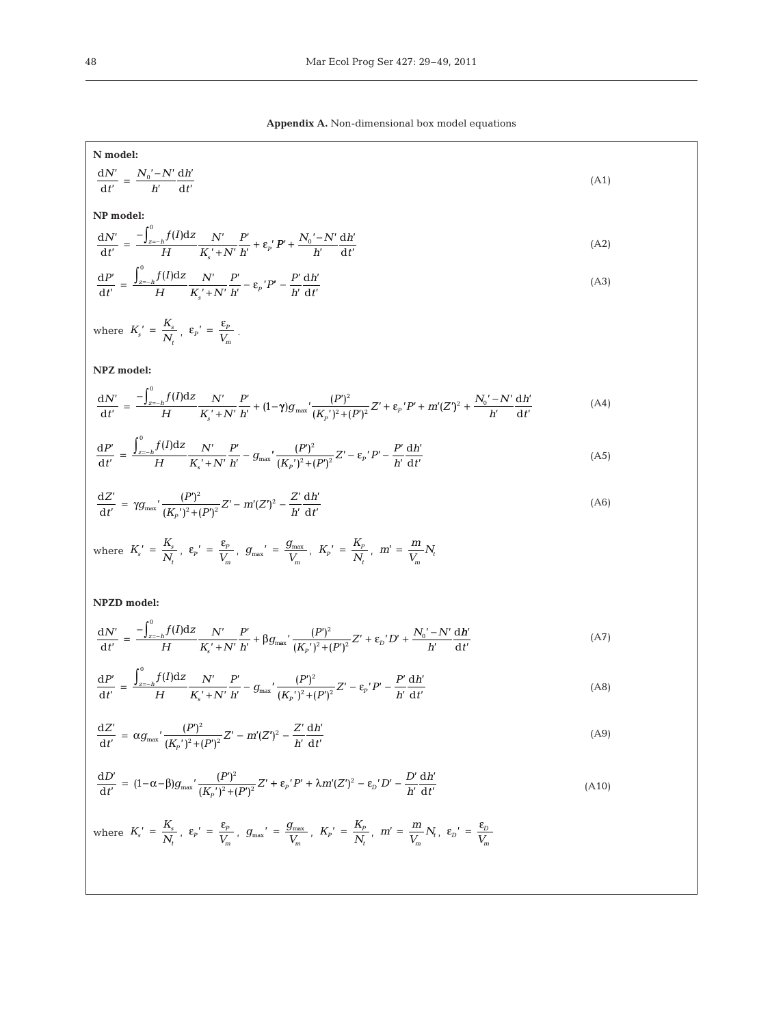**Appendix A.** Non-dimensional box model equations

| N model:                                                                                                                                                                                                                                                                          |       |
|-----------------------------------------------------------------------------------------------------------------------------------------------------------------------------------------------------------------------------------------------------------------------------------|-------|
| $\frac{\mathrm{d}N'}{\mathrm{d}t'}=\frac{N_0'-N'}{h'}\frac{\mathrm{d}h'}{\mathrm{d}t'}$                                                                                                                                                                                           | (A1)  |
| NP model:                                                                                                                                                                                                                                                                         |       |
| $\frac{dN'}{dt'} = \frac{-\int_{z-h}^{s} f(I) dz}{H} \frac{N'}{K' + N'} \frac{P'}{h'} + \varepsilon_{p'} P' + \frac{N_0' - N'}{h'} \frac{dh'}{dt'}$                                                                                                                               | (A2)  |
| $\frac{{\rm d}P'}{{\rm d}t'}\,=\,\frac{\int_{z=-h}^{\upsilon}f(I){\rm d}z}{H}\frac{N'}{K_{\circ}'+N'}\frac{P'}{h'}-\epsilon_{p}\,^{\prime}P'-\frac{P'}{h'}\frac{{\rm d}h'}{{\rm d}t'}$                                                                                            | (A3)  |
| where $K_s' = \frac{K_s}{N_s}$ , $\epsilon_p' = \frac{\epsilon_p}{V_m}$ .                                                                                                                                                                                                         |       |
| NPZ model:                                                                                                                                                                                                                                                                        |       |
| $\frac{dN'}{dt'} = \frac{-\int_{z=h} f(I) dz}{H} \frac{N'}{K' + N'h'} + (1-\gamma)g_{max'} \frac{(P')^2}{(K_n')^2 + (P')^2} Z' + \varepsilon_p' P' + m'(Z')^2 + \frac{N_0' - N'}{h'} \frac{dh'}{dt'}$                                                                             | (A4)  |
| $\frac{{\rm d}P'}{{\rm d}t'}\,=\,\frac{\int_{z=-h}^{\cdot}f(I){\rm d}z}{H}\frac{N'}{K\,'+N'}\frac{P'}{h'}\,-\,g_{{\rm max}}'\frac{(P')^2}{(K_{\scriptscriptstyle \rm D})^2\,+(P')^2}\,Z'-\,\epsilon_{\scriptscriptstyle P}\hskip.2cm'P'-\frac{P'}{h'}\frac{{\rm d}h'}{{\rm d}t'}$ | (A5)  |
| $\frac{dZ'}{dt'} = \gamma g_{\text{max}}' \frac{(P')^2}{(K_n')^2 + (P')^2} Z' - m'(Z')^2 - \frac{Z'}{h'} \frac{dh'}{dt'}$                                                                                                                                                         | (A6)  |
| where $K_s' = \frac{K_s}{N_t}$ , $\varepsilon_p' = \frac{\varepsilon_p}{V_m}$ , $g_{\text{max}}' = \frac{g_{\text{max}}}{V_m}$ , $K_p' = \frac{K_p}{N_t}$ , $m' = \frac{m}{V_m}N_t$                                                                                               |       |
| NPZD model:                                                                                                                                                                                                                                                                       |       |
| $\frac{dN'}{dt'} = \frac{-\int_{z=h} f(l)dz}{H} \frac{N'}{K' + N'} \frac{P'}{h'} + \beta g_{max'} \frac{(P')^2}{(K')^2 + (P')^2} Z' + \epsilon_D' D' + \frac{N_0' - N'}{h'} \frac{dH'}{dt'}$                                                                                      | (A7)  |
| $\frac{dP'}{dt'} = \frac{\int_{z=h}^{v} f(I)dz}{H} \frac{N'}{K' + N'} \frac{P'}{h'} - g_{max'} \frac{(P')^{2}}{(K_{-}^{'})^{2} + (P')^{2}} Z' - \varepsilon_{p}^{'} P' - \frac{P'}{h'} \frac{dh'}{dt'}$                                                                           | (A8)  |
| $\frac{\mathrm{d} Z'}{\mathrm{d} t'} \,=\, \alpha g_{\max{}}'\frac{(P')^2}{(K_{\rm n}{'})^2 + (P')^2} Z' - m'(Z')^2 - \frac{Z'}{h'}\frac{\mathrm{d} h'}{\mathrm{d} t'}$                                                                                                           | (A9)  |
| $\frac{dD'}{dt'} = (1-\alpha-\beta)g_{\text{max}}' \frac{(P')^2}{(K_n')^2 + (P')^2} Z' + \varepsilon_p' P' + \lambda m'(Z')^2 - \varepsilon_p' D' - \frac{D'}{h'} \frac{dh'}{dt'}$                                                                                                | (A10) |
| where $K_s' = \frac{K_s}{N_t}$ , $\varepsilon_p' = \frac{\varepsilon_p}{V_m}$ , $g_{\text{max}}' = \frac{g_{\text{max}}}{V_m}$ , $K_p' = \frac{K_p}{N_t}$ , $m' = \frac{m}{V_m}N_t$ , $\varepsilon_p' = \frac{\varepsilon_p}{V_m}$                                                |       |
|                                                                                                                                                                                                                                                                                   |       |
|                                                                                                                                                                                                                                                                                   |       |